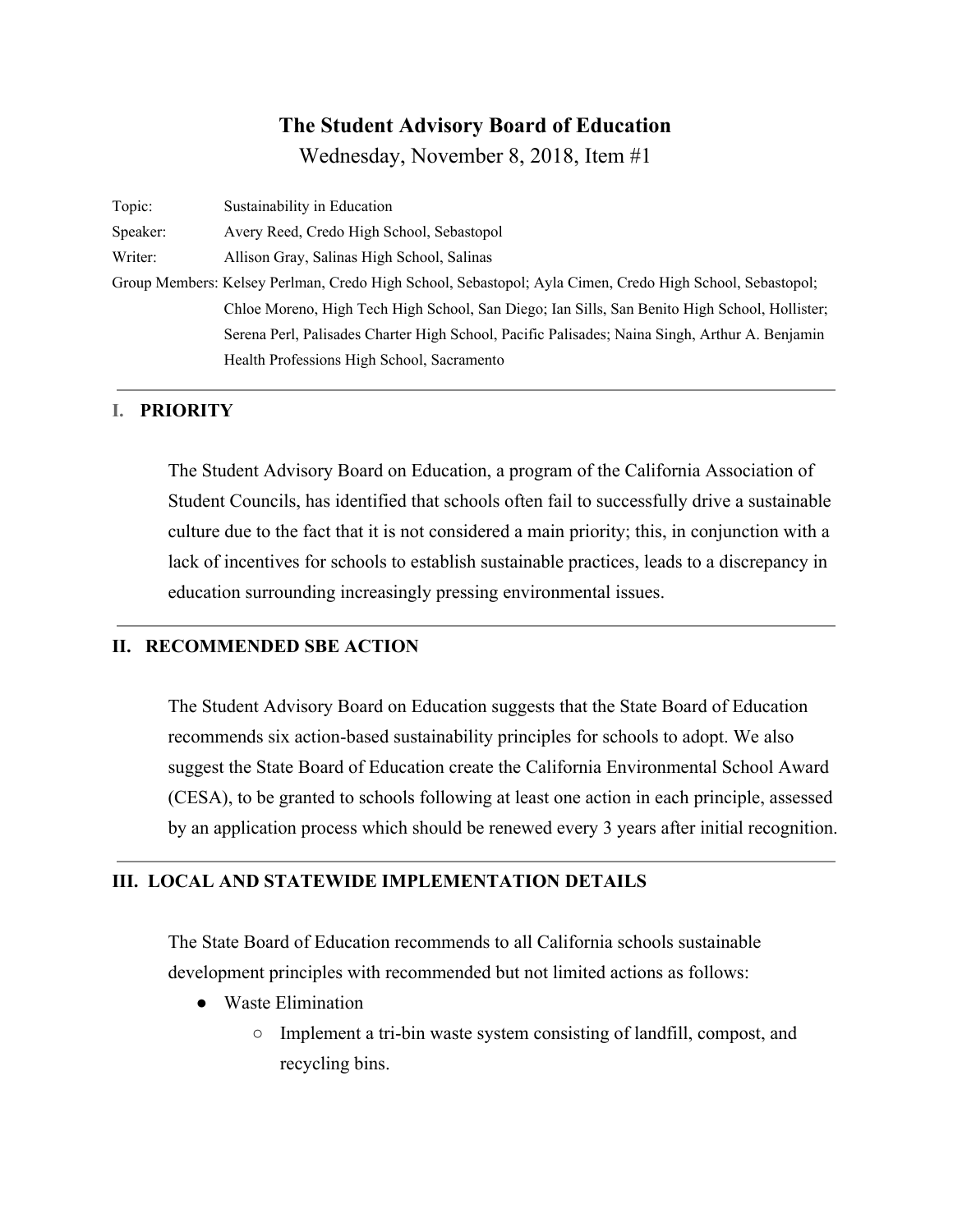Wednesday, November 8, 2018, Item #1

| Topic:                                                                                        | Sustainability in Education                                                                              |  |
|-----------------------------------------------------------------------------------------------|----------------------------------------------------------------------------------------------------------|--|
| Speaker:                                                                                      | Avery Reed, Credo High School, Sebastopol                                                                |  |
| Writer:                                                                                       | Allison Gray, Salinas High School, Salinas                                                               |  |
|                                                                                               | Group Members: Kelsey Perlman, Credo High School, Sebastopol; Ayla Cimen, Credo High School, Sebastopol; |  |
| Chloe Moreno, High Tech High School, San Diego; Ian Sills, San Benito High School, Hollister; |                                                                                                          |  |
|                                                                                               | Serena Perl, Palisades Charter High School, Pacific Palisades; Naina Singh, Arthur A. Benjamin           |  |
|                                                                                               | Health Professions High School, Sacramento                                                               |  |

## **I. PRIORITY**

The Student Advisory Board on Education, a program of the California Association of Student Councils, has identified that schools often fail to successfully drive a sustainable culture due to the fact that it is not considered a main priority; this, in conjunction with a lack of incentives for schools to establish sustainable practices, leads to a discrepancy in education surrounding increasingly pressing environmental issues.

## **II. RECOMMENDED SBE ACTION**

The Student Advisory Board on Education suggests that the State Board of Education recommends six action-based sustainability principles for schools to adopt. We also suggest the State Board of Education create the California Environmental School Award (CESA), to be granted to schools following at least one action in each principle, assessed by an application process which should be renewed every 3 years after initial recognition.

### **III. LOCAL AND STATEWIDE IMPLEMENTATION DETAILS**

The State Board of Education recommends to all California schools sustainable development principles with recommended but not limited actions as follows:

- Waste Elimination
	- Implement a tri-bin waste system consisting of landfill, compost, and recycling bins.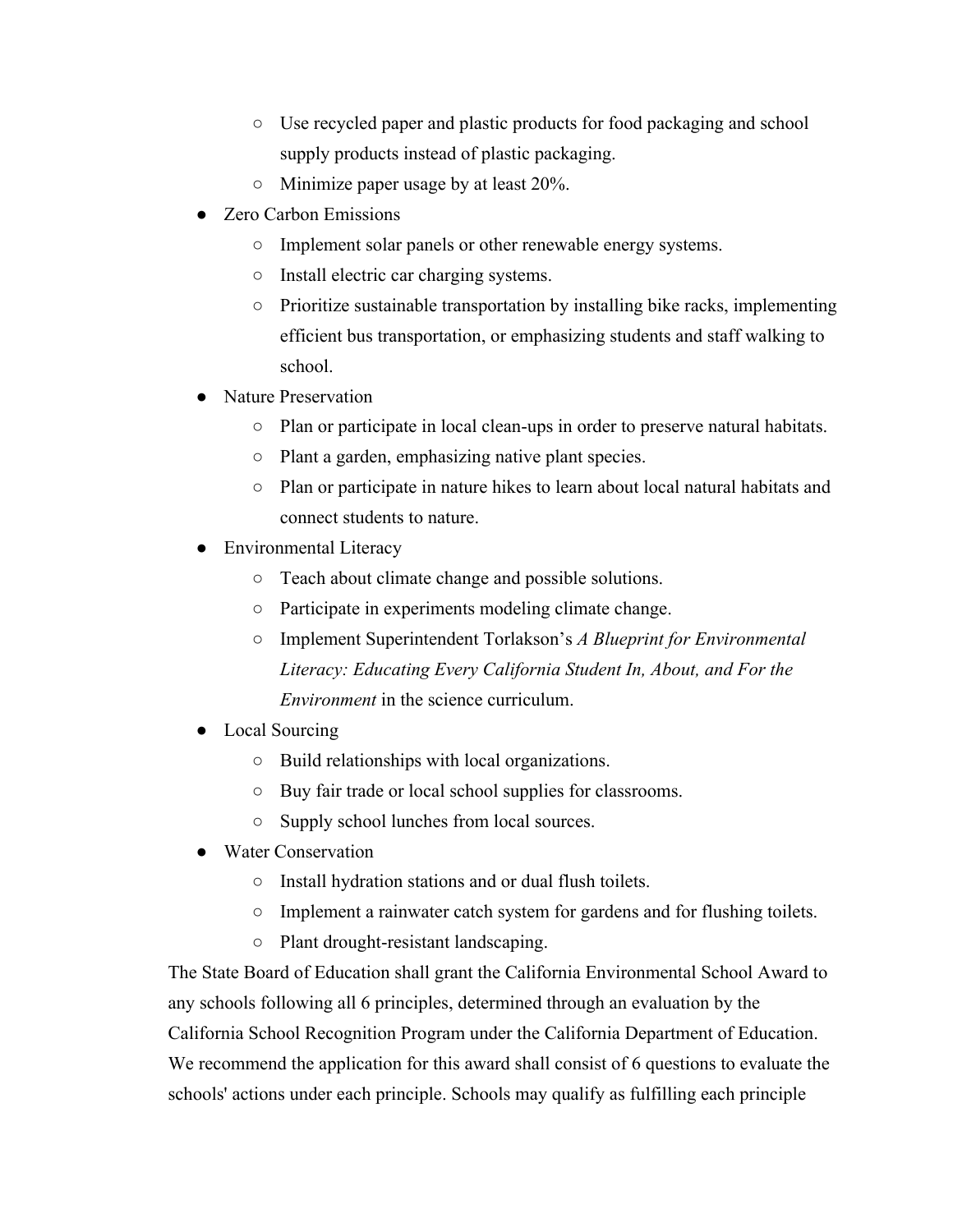- Use recycled paper and plastic products for food packaging and school supply products instead of plastic packaging.
- Minimize paper usage by at least 20%.
- **Zero Carbon Emissions** 
	- Implement solar panels or other renewable energy systems.
	- Install electric car charging systems.
	- Prioritize sustainable transportation by installing bike racks, implementing efficient bus transportation, or emphasizing students and staff walking to school.
- Nature Preservation
	- Plan or participate in local clean-ups in order to preserve natural habitats.
	- Plant a garden, emphasizing native plant species.
	- Plan or participate in nature hikes to learn about local natural habitats and connect students to nature.
- Environmental Literacy
	- Teach about climate change and possible solutions.
	- Participate in experiments modeling climate change.
	- Implement Superintendent Torlakson's *A Blueprint for Environmental Literacy: Educating Every California Student In, About, and For the Environment* in the science curriculum.
- Local Sourcing
	- Build relationships with local organizations.
	- Buy fair trade or local school supplies for classrooms.
	- Supply school lunches from local sources.
- Water Conservation
	- Install hydration stations and or dual flush toilets.
	- Implement a rainwater catch system for gardens and for flushing toilets.
	- Plant drought-resistant landscaping.

The State Board of Education shall grant the California Environmental School Award to any schools following all 6 principles, determined through an evaluation by the California School Recognition Program under the California Department of Education. We recommend the application for this award shall consist of 6 questions to evaluate the schools' actions under each principle. Schools may qualify as fulfilling each principle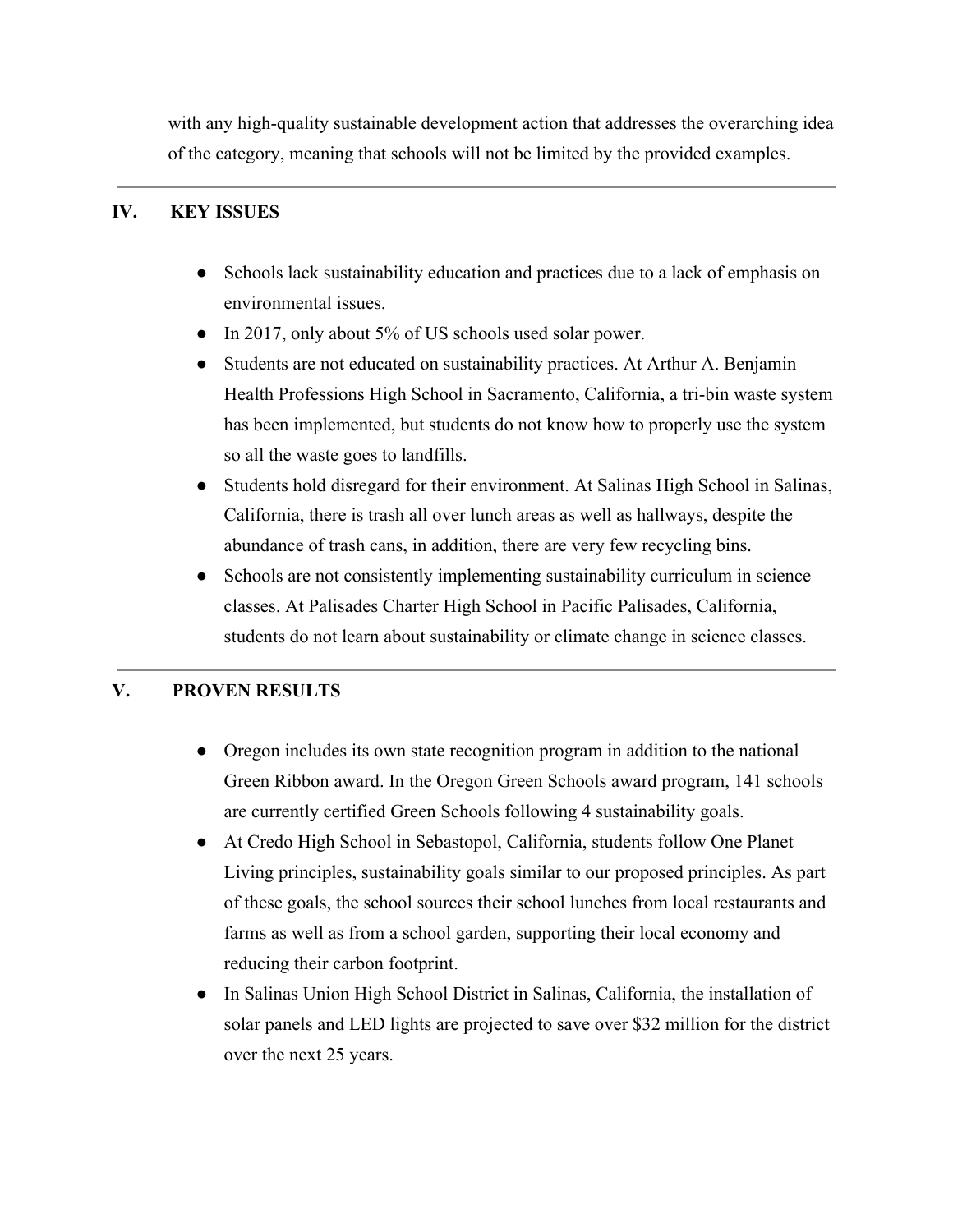with any high-quality sustainable development action that addresses the overarching idea of the category, meaning that schools will not be limited by the provided examples.

## **IV. KEY ISSUES**

- Schools lack sustainability education and practices due to a lack of emphasis on environmental issues.
- In 2017, only about 5% of US schools used solar power.
- Students are not educated on sustainability practices. At Arthur A. Benjamin Health Professions High School in Sacramento, California, a tri-bin waste system has been implemented, but students do not know how to properly use the system so all the waste goes to landfills.
- Students hold disregard for their environment. At Salinas High School in Salinas, California, there is trash all over lunch areas as well as hallways, despite the abundance of trash cans, in addition, there are very few recycling bins.
- Schools are not consistently implementing sustainability curriculum in science classes. At Palisades Charter High School in Pacific Palisades, California, students do not learn about sustainability or climate change in science classes.

## **V. PROVEN RESULTS**

- Oregon includes its own state recognition program in addition to the national Green Ribbon award. In the Oregon Green Schools award program, 141 schools are currently certified Green Schools following 4 sustainability goals.
- At Credo High School in Sebastopol, California, students follow One Planet Living principles, sustainability goals similar to our proposed principles. As part of these goals, the school sources their school lunches from local restaurants and farms as well as from a school garden, supporting their local economy and reducing their carbon footprint.
- In Salinas Union High School District in Salinas, California, the installation of solar panels and LED lights are projected to save over \$32 million for the district over the next 25 years.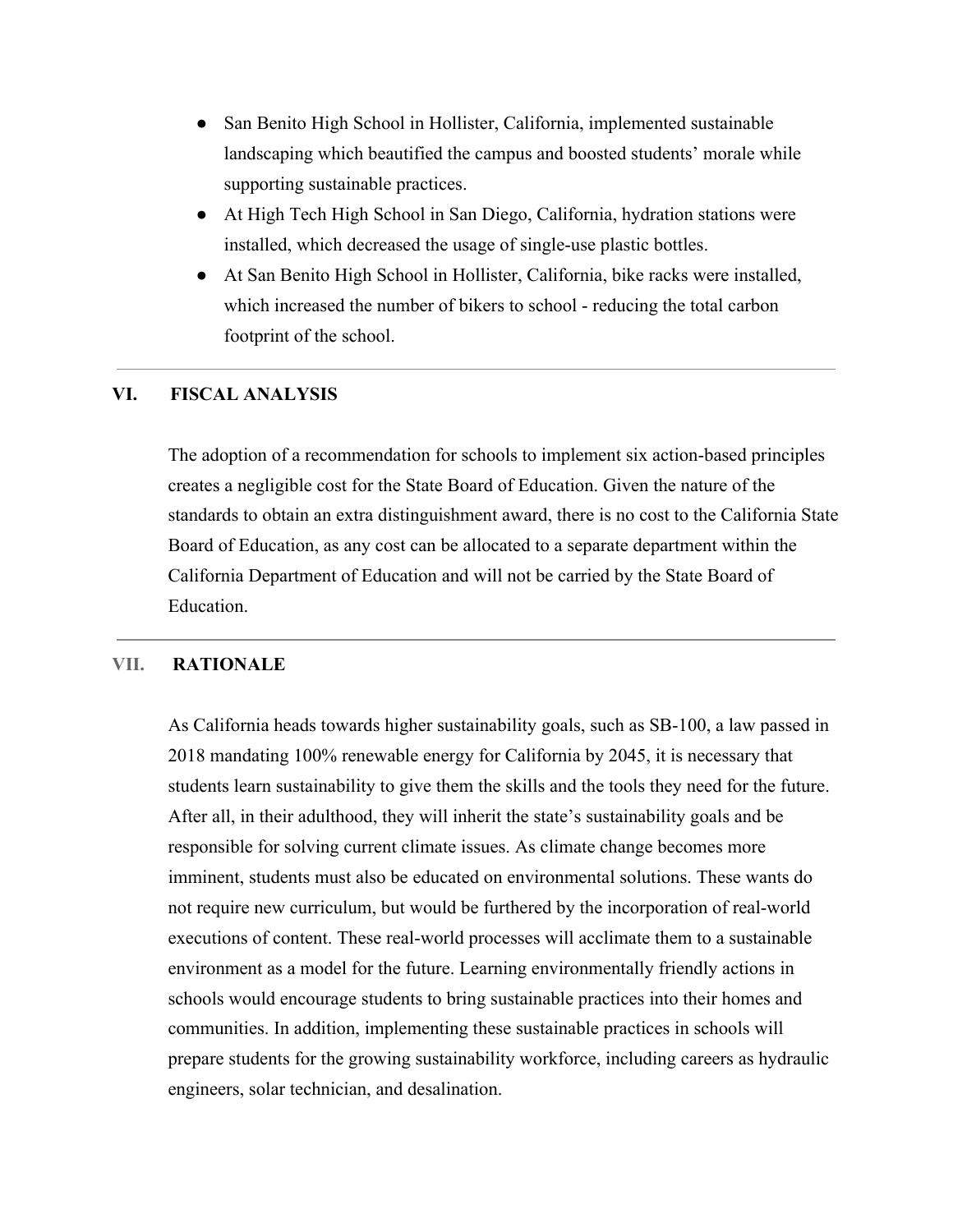- San Benito High School in Hollister, California, implemented sustainable landscaping which beautified the campus and boosted students' morale while supporting sustainable practices.
- At High Tech High School in San Diego, California, hydration stations were installed, which decreased the usage of single-use plastic bottles.
- At San Benito High School in Hollister, California, bike racks were installed, which increased the number of bikers to school - reducing the total carbon footprint of the school.

## **VI. FISCAL ANALYSIS**

The adoption of a recommendation for schools to implement six action-based principles creates a negligible cost for the State Board of Education. Given the nature of the standards to obtain an extra distinguishment award, there is no cost to the California State Board of Education, as any cost can be allocated to a separate department within the California Department of Education and will not be carried by the State Board of Education.

### **VII. RATIONALE**

As California heads towards higher sustainability goals, such as SB-100, a law passed in 2018 mandating 100% renewable energy for California by 2045, it is necessary that students learn sustainability to give them the skills and the tools they need for the future. After all, in their adulthood, they will inherit the state's sustainability goals and be responsible for solving current climate issues. As climate change becomes more imminent, students must also be educated on environmental solutions. These wants do not require new curriculum, but would be furthered by the incorporation of real-world executions of content. These real-world processes will acclimate them to a sustainable environment as a model for the future. Learning environmentally friendly actions in schools would encourage students to bring sustainable practices into their homes and communities. In addition, implementing these sustainable practices in schools will prepare students for the growing sustainability workforce, including careers as hydraulic engineers, solar technician, and desalination.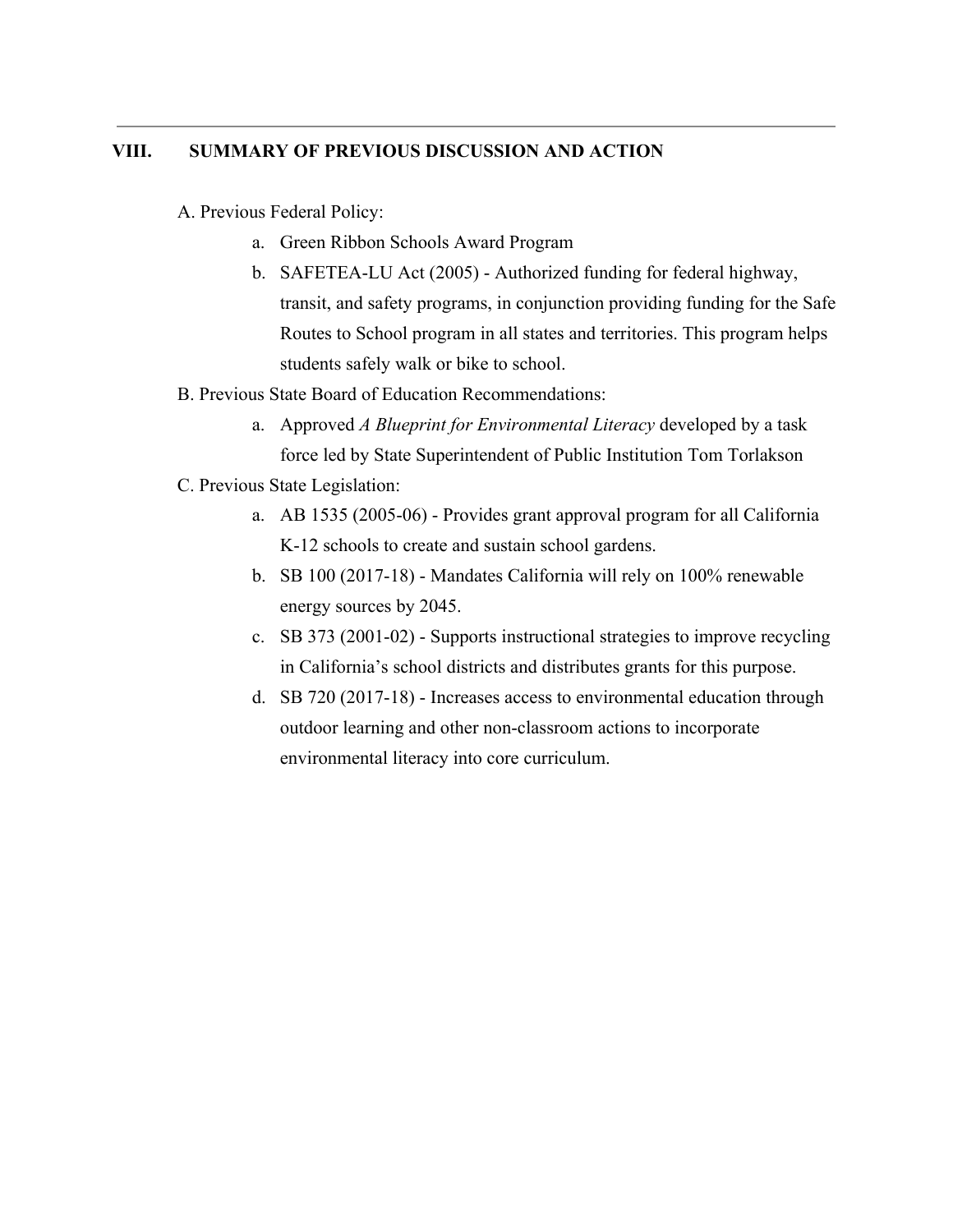## **VIII. SUMMARY OF PREVIOUS DISCUSSION AND ACTION**

- A. Previous Federal Policy:
	- a. Green Ribbon Schools Award Program
	- b. SAFETEA-LU Act (2005) Authorized funding for federal highway, transit, and safety programs, in conjunction providing funding for the Safe Routes to School program in all states and territories. This program helps students safely walk or bike to school.
- B. Previous State Board of Education Recommendations:
	- a. Approved *A Blueprint for Environmental Literacy* developed by a task force led by State Superintendent of Public Institution Tom Torlakson
- C. Previous State Legislation:
	- a. AB 1535 (2005-06) Provides grant approval program for all California K-12 schools to create and sustain school gardens.
	- b. SB 100 (2017-18) Mandates California will rely on 100% renewable energy sources by 2045.
	- c. SB 373 (2001-02) Supports instructional strategies to improve recycling in California's school districts and distributes grants for this purpose.
	- d. SB 720 (2017-18) Increases access to environmental education through outdoor learning and other non-classroom actions to incorporate environmental literacy into core curriculum.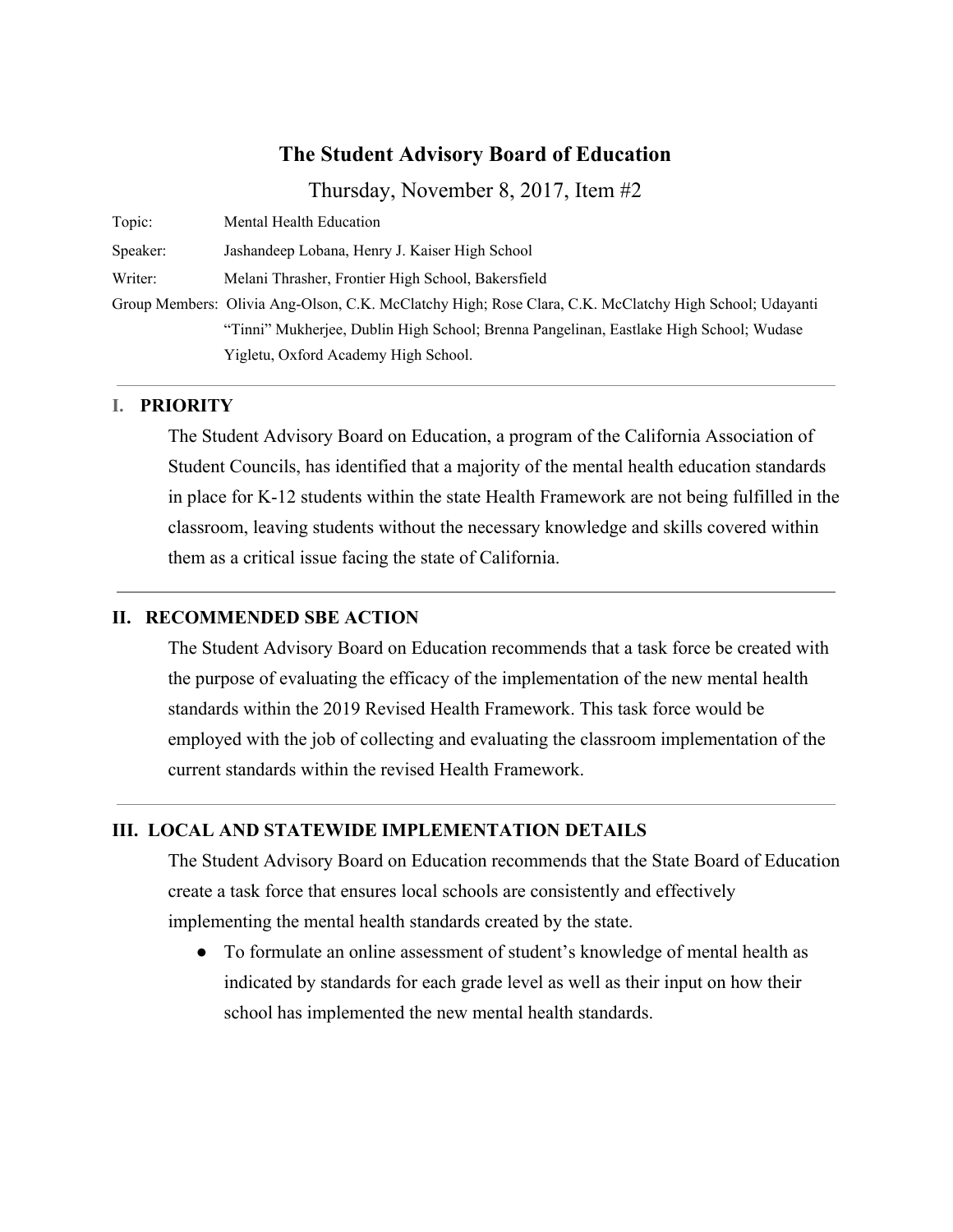Thursday, November 8, 2017, Item #2

| Topic:   | <b>Mental Health Education</b>                                                                         |  |
|----------|--------------------------------------------------------------------------------------------------------|--|
| Speaker: | Jashandeep Lobana, Henry J. Kaiser High School                                                         |  |
| Writer:  | Melani Thrasher, Frontier High School, Bakersfield                                                     |  |
|          | Group Members: Olivia Ang-Olson, C.K. McClatchy High; Rose Clara, C.K. McClatchy High School; Udayanti |  |
|          | "Tinni" Mukherjee, Dublin High School; Brenna Pangelinan, Eastlake High School; Wudase                 |  |
|          | Yigletu, Oxford Academy High School.                                                                   |  |

### **I. PRIORITY**

The Student Advisory Board on Education, a program of the California Association of Student Councils, has identified that a majority of the mental health education standards in place for K-12 students within the state Health Framework are not being fulfilled in the classroom, leaving students without the necessary knowledge and skills covered within them as a critical issue facing the state of California.

### **II. RECOMMENDED SBE ACTION**

The Student Advisory Board on Education recommends that a task force be created with the purpose of evaluating the efficacy of the implementation of the new mental health standards within the 2019 Revised Health Framework. This task force would be employed with the job of collecting and evaluating the classroom implementation of the current standards within the revised Health Framework.

### **III. LOCAL AND STATEWIDE IMPLEMENTATION DETAILS**

The Student Advisory Board on Education recommends that the State Board of Education create a task force that ensures local schools are consistently and effectively implementing the mental health standards created by the state.

● To formulate an online assessment of student's knowledge of mental health as indicated by standards for each grade level as well as their input on how their school has implemented the new mental health standards.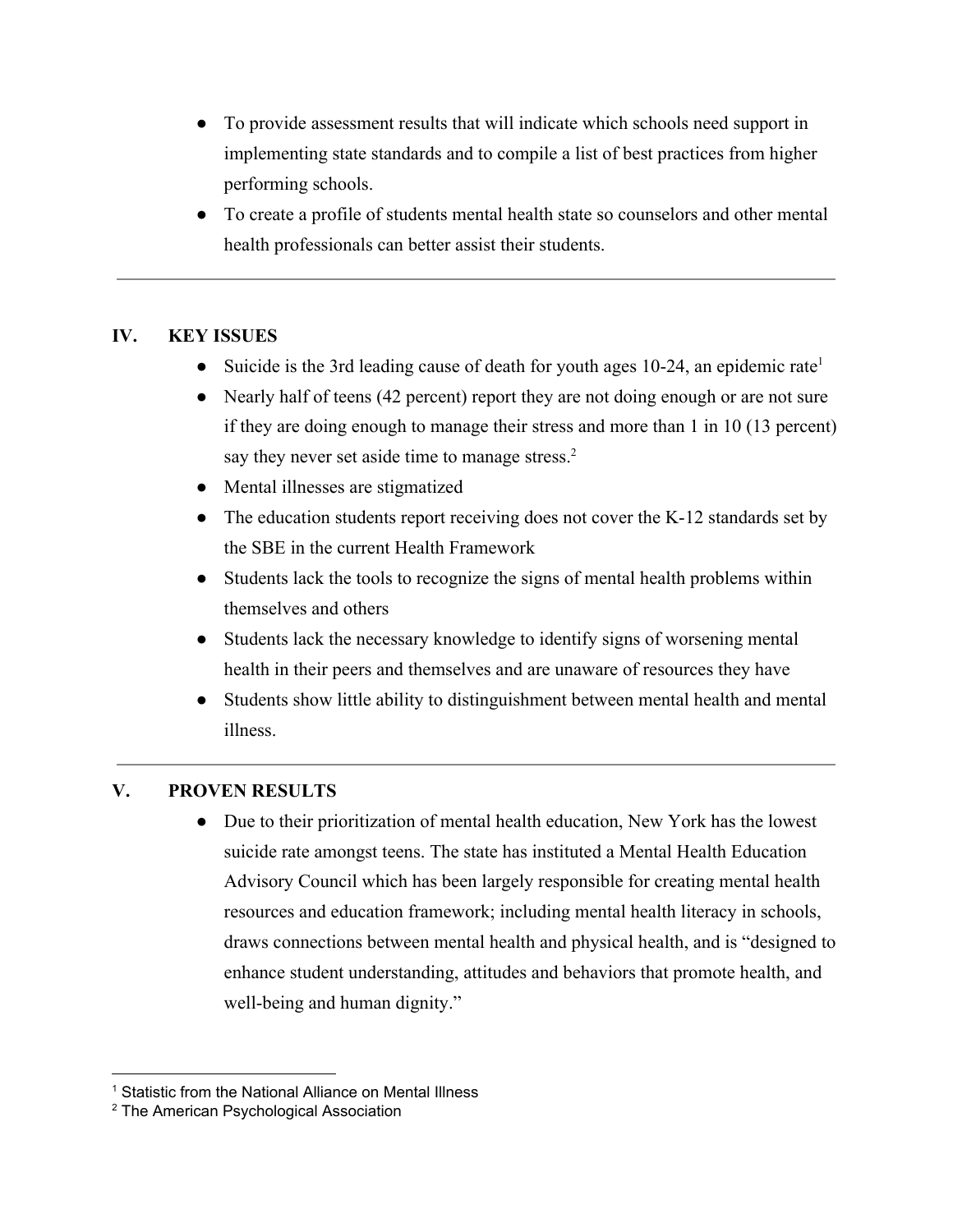- To provide assessment results that will indicate which schools need support in implementing state standards and to compile a list of best practices from higher performing schools.
- To create a profile of students mental health state so counselors and other mental health professionals can better assist their students.

## **IV. KEY ISSUES**

- Suicide is the 3rd leading cause of death for youth ages 10-24, an epidemic rate<sup>1</sup>
- Nearly half of teens (42 percent) report they are not doing enough or are not sure if they are doing enough to manage their stress and more than 1 in 10 (13 percent) say they never set aside time to manage stress.<sup>2</sup>
- Mental illnesses are stigmatized
- The education students report receiving does not cover the K-12 standards set by the SBE in the current Health Framework
- Students lack the tools to recognize the signs of mental health problems within themselves and others
- Students lack the necessary knowledge to identify signs of worsening mental health in their peers and themselves and are unaware of resources they have
- Students show little ability to distinguishment between mental health and mental illness.

## **V. PROVEN RESULTS**

• Due to their prioritization of mental health education, New York has the lowest suicide rate amongst teens. The state has instituted a Mental Health Education Advisory Council which has been largely responsible for creating mental health resources and education framework; including mental health literacy in schools, draws connections between mental health and physical health, and is "designed to enhance student understanding, attitudes and behaviors that promote health, and well-being and human dignity."

<sup>&</sup>lt;sup>1</sup> Statistic from the National Alliance on Mental Illness

<sup>2</sup> The American Psychological Association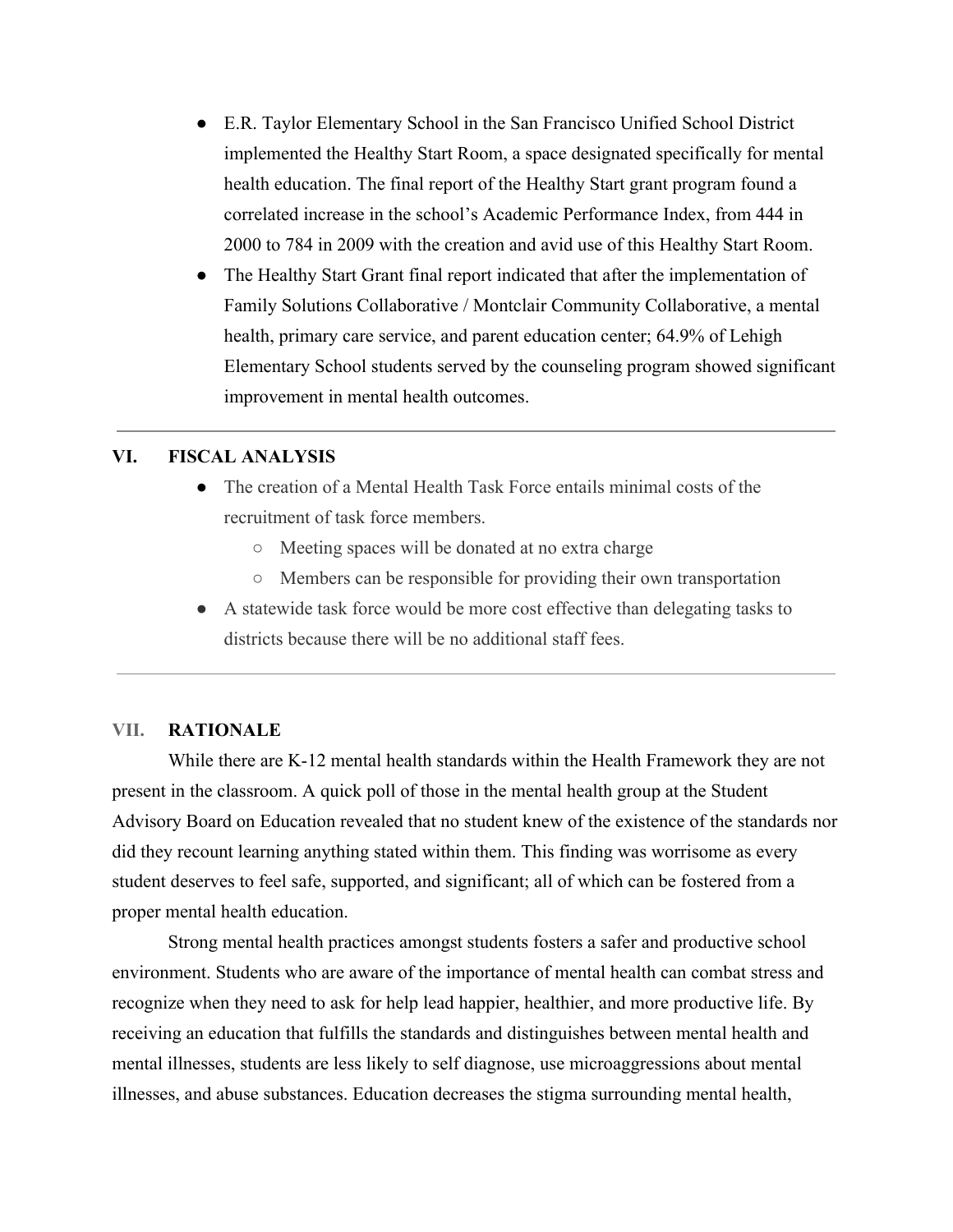- E.R. Taylor Elementary School in the San Francisco Unified School District implemented the Healthy Start Room, a space designated specifically for mental health education. The final report of the Healthy Start grant program found a correlated increase in the school's Academic Performance Index, from 444 in 2000 to 784 in 2009 with the creation and avid use of this Healthy Start Room.
- The Healthy Start Grant final report indicated that after the implementation of Family Solutions Collaborative / Montclair Community Collaborative, a mental health, primary care service, and parent education center; 64.9% of Lehigh Elementary School students served by the counseling program showed significant improvement in mental health outcomes.

### **VI. FISCAL ANALYSIS**

- The creation of a Mental Health Task Force entails minimal costs of the recruitment of task force members.
	- Meeting spaces will be donated at no extra charge
	- Members can be responsible for providing their own transportation
- A statewide task force would be more cost effective than delegating tasks to districts because there will be no additional staff fees.

## **VII. RATIONALE**

While there are K-12 mental health standards within the Health Framework they are not present in the classroom. A quick poll of those in the mental health group at the Student Advisory Board on Education revealed that no student knew of the existence of the standards nor did they recount learning anything stated within them. This finding was worrisome as every student deserves to feel safe, supported, and significant; all of which can be fostered from a proper mental health education.

Strong mental health practices amongst students fosters a safer and productive school environment. Students who are aware of the importance of mental health can combat stress and recognize when they need to ask for help lead happier, healthier, and more productive life. By receiving an education that fulfills the standards and distinguishes between mental health and mental illnesses, students are less likely to self diagnose, use microaggressions about mental illnesses, and abuse substances. Education decreases the stigma surrounding mental health,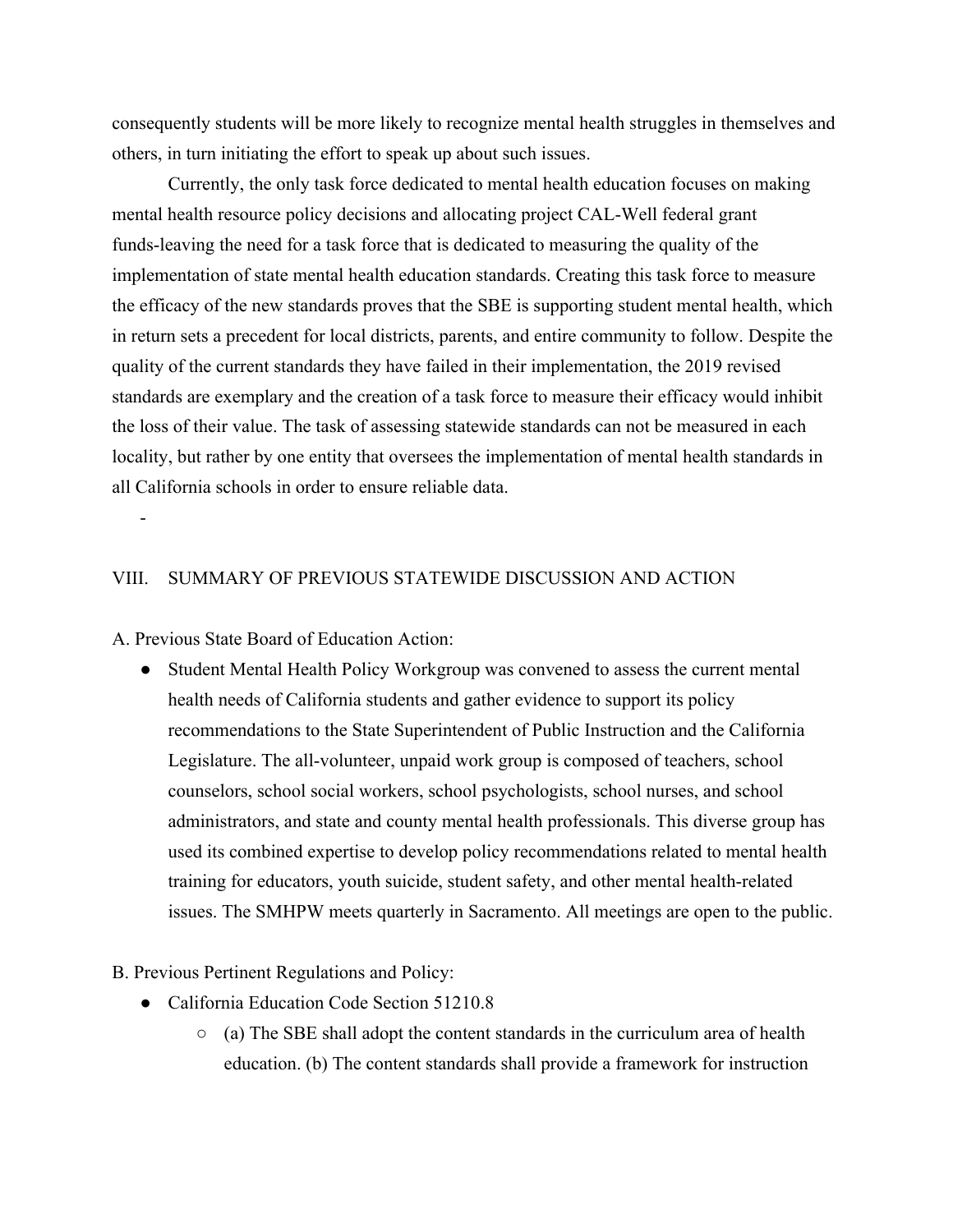consequently students will be more likely to recognize mental health struggles in themselves and others, in turn initiating the effort to speak up about such issues.

Currently, the only task force dedicated to mental health education focuses on making mental health resource policy decisions and allocating project CAL-Well federal grant funds-leaving the need for a task force that is dedicated to measuring the quality of the implementation of state mental health education standards. Creating this task force to measure the efficacy of the new standards proves that the SBE is supporting student mental health, which in return sets a precedent for local districts, parents, and entire community to follow. Despite the quality of the current standards they have failed in their implementation, the 2019 revised standards are exemplary and the creation of a task force to measure their efficacy would inhibit the loss of their value. The task of assessing statewide standards can not be measured in each locality, but rather by one entity that oversees the implementation of mental health standards in all California schools in order to ensure reliable data.

-

#### VIII. SUMMARY OF PREVIOUS STATEWIDE DISCUSSION AND ACTION

A. Previous State Board of Education Action:

● Student Mental Health Policy Workgroup was convened to assess the current mental health needs of California students and gather evidence to support its policy recommendations to the State Superintendent of Public Instruction and the California Legislature. The all-volunteer, unpaid work group is composed of teachers, school counselors, school social workers, school psychologists, school nurses, and school administrators, and state and county mental health professionals. This diverse group has used its combined expertise to develop policy recommendations related to mental health training for educators, youth suicide, student safety, and other mental health-related issues. The SMHPW meets quarterly in Sacramento. All meetings are open to the public.

B. Previous Pertinent Regulations and Policy:

- California Education Code Section 51210.8
	- $\circ$  (a) The SBE shall adopt the content standards in the curriculum area of health education. (b) The content standards shall provide a framework for instruction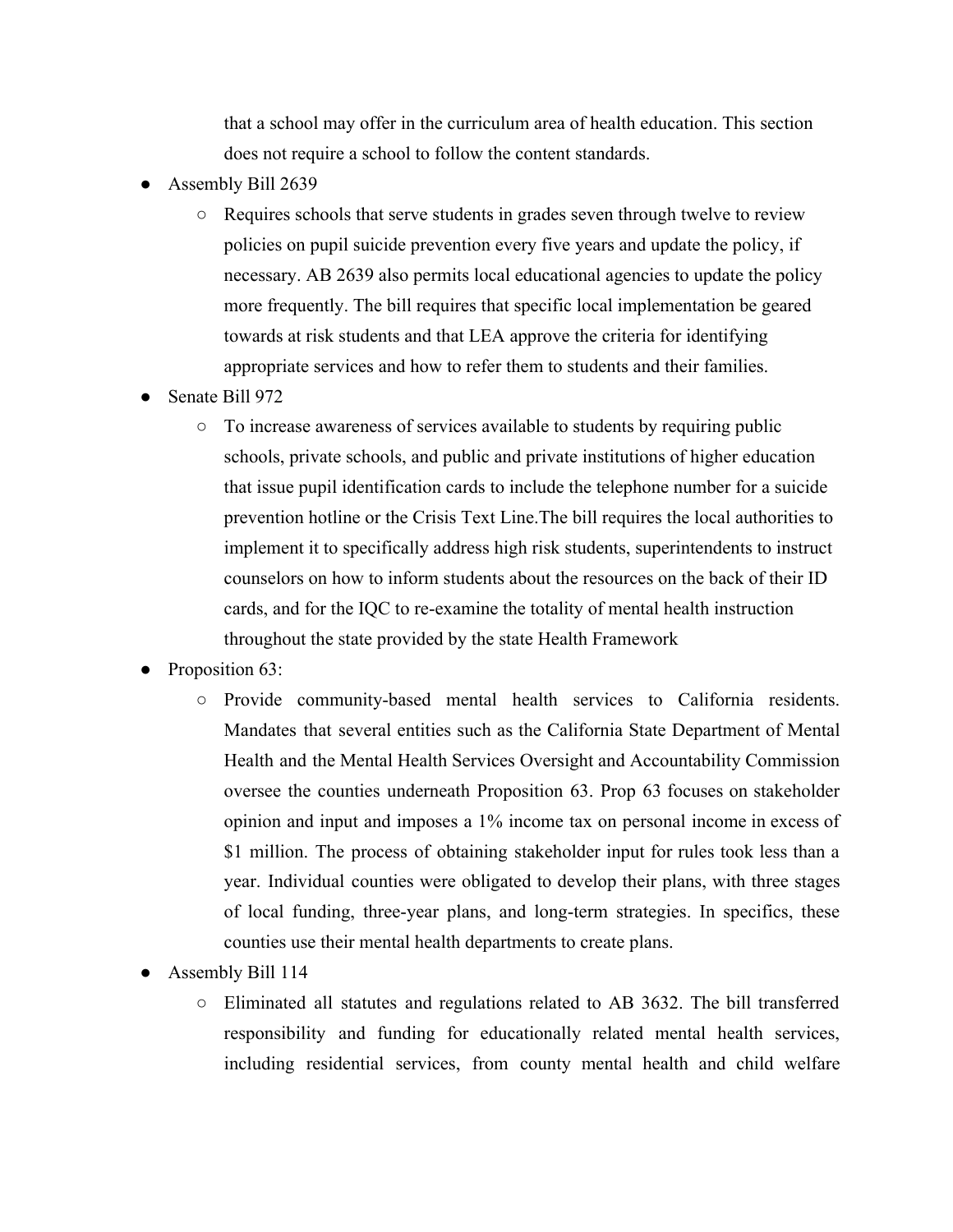that a school may offer in the curriculum area of health education. This section does not require a school to follow the content standards.

- Assembly Bill 2639
	- Requires schools that serve students in grades seven through twelve to review policies on pupil suicide prevention every five years and update the policy, if necessary. AB 2639 also permits local educational agencies to update the policy more frequently. The bill requires that specific local implementation be geared towards at risk students and that LEA approve the criteria for identifying appropriate services and how to refer them to students and their families.
- Senate Bill 972
	- To increase awareness of services available to students by requiring public schools, private schools, and public and private institutions of higher education that issue pupil identification cards to include the telephone number for a suicide prevention hotline or the Crisis Text Line.The bill requires the local authorities to implement it to specifically address high risk students, superintendents to instruct counselors on how to inform students about the resources on the back of their ID cards, and for the IQC to re-examine the totality of mental health instruction throughout the state provided by the state Health Framework
- Proposition 63:
	- Provide community-based mental health services to California residents. Mandates that several entities such as the California State Department of Mental Health and the Mental Health Services Oversight and Accountability Commission oversee the counties underneath Proposition 63. Prop 63 focuses on stakeholder opinion and input and imposes a 1% income tax on personal income in excess of \$1 million. The process of obtaining stakeholder input for rules took less than a year. Individual counties were obligated to develop their plans, with three stages of local funding, three-year plans, and long-term strategies. In specifics, these counties use their mental health departments to create plans.
- Assembly Bill 114
	- Eliminated all statutes and regulations related to AB 3632. The bill transferred responsibility and funding for educationally related mental health services, including residential services, from county mental health and child welfare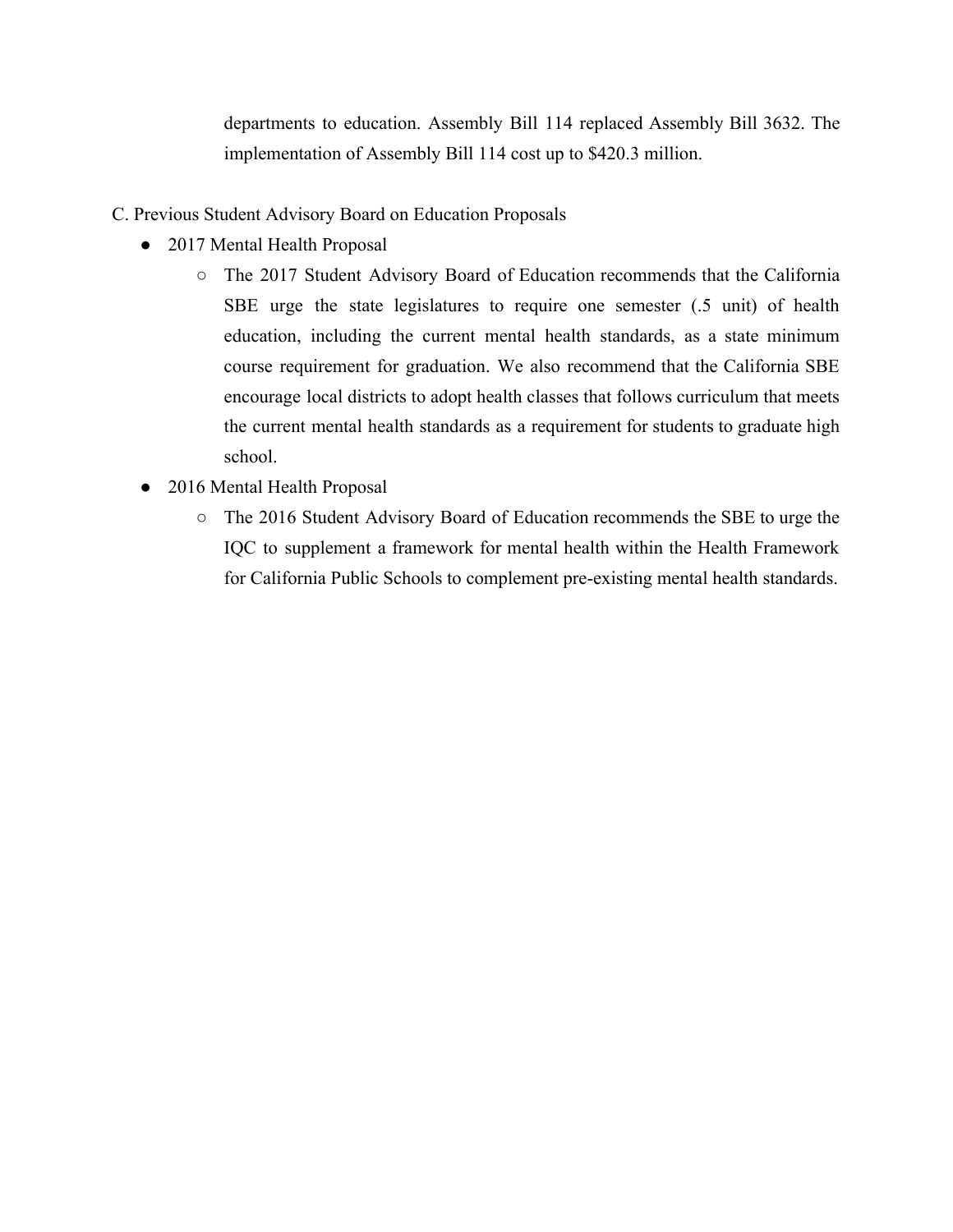departments to education. Assembly Bill 114 replaced Assembly Bill 3632. The implementation of Assembly Bill 114 cost up to \$420.3 million.

- C. Previous Student Advisory Board on Education Proposals
	- 2017 Mental Health Proposal
		- The 2017 Student Advisory Board of Education recommends that the California SBE urge the state legislatures to require one semester (.5 unit) of health education, including the current mental health standards, as a state minimum course requirement for graduation. We also recommend that the California SBE encourage local districts to adopt health classes that follows curriculum that meets the current mental health standards as a requirement for students to graduate high school.
	- 2016 Mental Health Proposal
		- The 2016 Student Advisory Board of Education recommends the SBE to urge the IQC to supplement a framework for mental health within the Health Framework for California Public Schools to complement pre-existing mental health standards.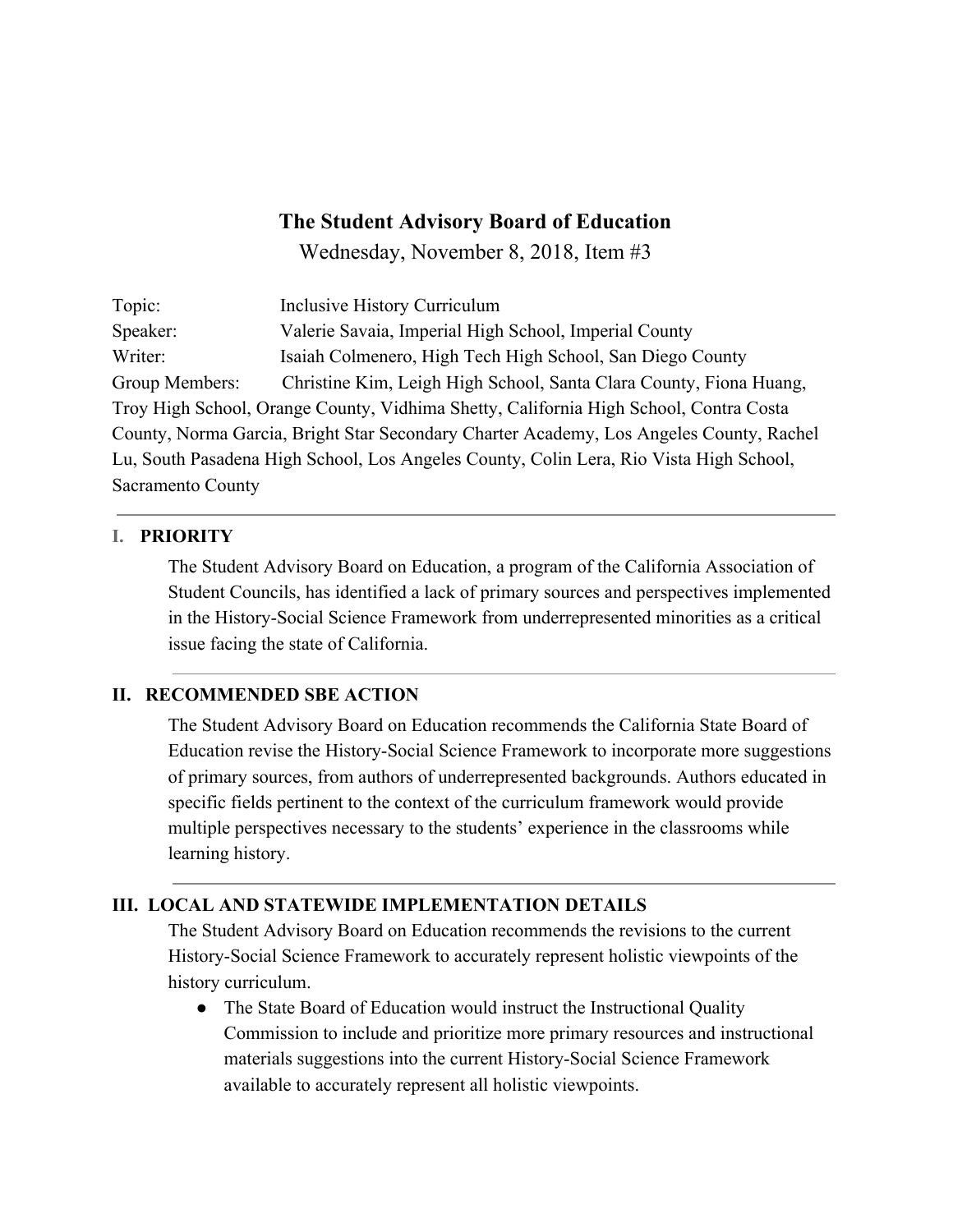Wednesday, November 8, 2018, Item #3

Topic: Inclusive History Curriculum Speaker: Valerie Savaia, Imperial High School, Imperial County Writer: Isaiah Colmenero, High Tech High School, San Diego County Group Members: Christine Kim, Leigh High School, Santa Clara County, Fiona Huang, Troy High School, Orange County, Vidhima Shetty, California High School, Contra Costa County, Norma Garcia, Bright Star Secondary Charter Academy, Los Angeles County, Rachel Lu, South Pasadena High School, Los Angeles County, Colin Lera, Rio Vista High School, Sacramento County

## **I. PRIORITY**

The Student Advisory Board on Education, a program of the California Association of Student Councils, has identified a lack of primary sources and perspectives implemented in the History-Social Science Framework from underrepresented minorities as a critical issue facing the state of California.

## **II. RECOMMENDED SBE ACTION**

The Student Advisory Board on Education recommends the California State Board of Education revise the History-Social Science Framework to incorporate more suggestions of primary sources, from authors of underrepresented backgrounds. Authors educated in specific fields pertinent to the context of the curriculum framework would provide multiple perspectives necessary to the students' experience in the classrooms while learning history.

## **III. LOCAL AND STATEWIDE IMPLEMENTATION DETAILS**

The Student Advisory Board on Education recommends the revisions to the current History-Social Science Framework to accurately represent holistic viewpoints of the history curriculum.

• The State Board of Education would instruct the Instructional Quality Commission to include and prioritize more primary resources and instructional materials suggestions into the current History-Social Science Framework available to accurately represent all holistic viewpoints.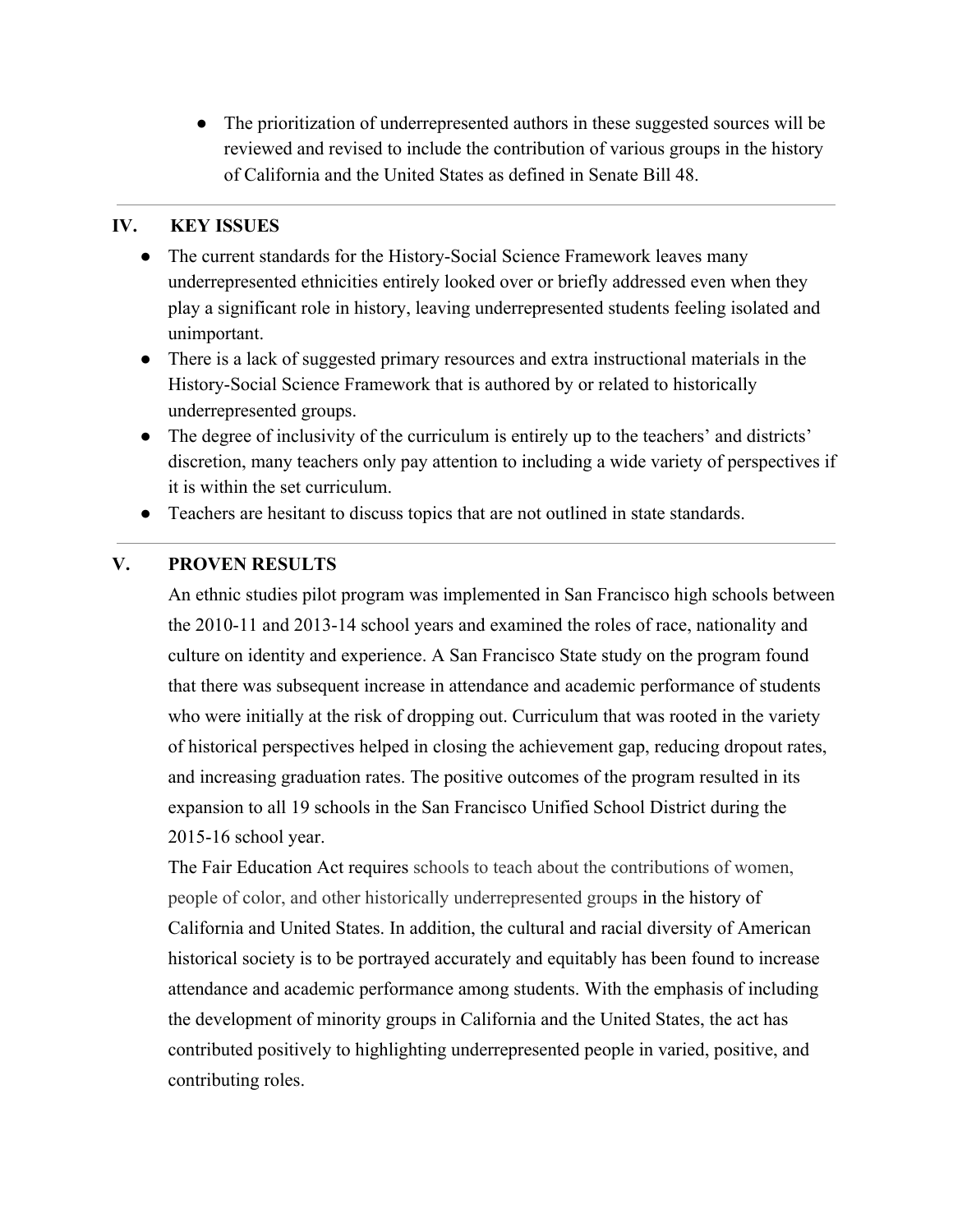● The prioritization of underrepresented authors in these suggested sources will be reviewed and revised to include the contribution of various groups in the history of California and the United States as defined in Senate Bill 48.

## **IV. KEY ISSUES**

- The current standards for the History-Social Science Framework leaves many underrepresented ethnicities entirely looked over or briefly addressed even when they play a significant role in history, leaving underrepresented students feeling isolated and unimportant.
- There is a lack of suggested primary resources and extra instructional materials in the History-Social Science Framework that is authored by or related to historically underrepresented groups.
- The degree of inclusivity of the curriculum is entirely up to the teachers' and districts' discretion, many teachers only pay attention to including a wide variety of perspectives if it is within the set curriculum.
- Teachers are hesitant to discuss topics that are not outlined in state standards.

# **V. PROVEN RESULTS**

An ethnic studies pilot program was implemented in San Francisco high schools between the 2010-11 and 2013-14 school years and examined the roles of race, nationality and culture on identity and experience. A San Francisco State study on the program found that there was subsequent increase in attendance and academic performance of students who were initially at the risk of dropping out. Curriculum that was rooted in the variety of historical perspectives helped in closing the achievement gap, reducing dropout rates, and increasing graduation rates. The positive outcomes of the program resulted in its expansion to all 19 schools in the San Francisco Unified School District during the 2015-16 school year.

The Fair Education Act requires schools to teach about the contributions of women, people of color, and other historically underrepresented groups in the history of California and United States. In addition, the cultural and racial diversity of American historical society is to be portrayed accurately and equitably has been found to increase attendance and academic performance among students. With the emphasis of including the development of minority groups in California and the United States, the act has contributed positively to highlighting underrepresented people in varied, positive, and contributing roles.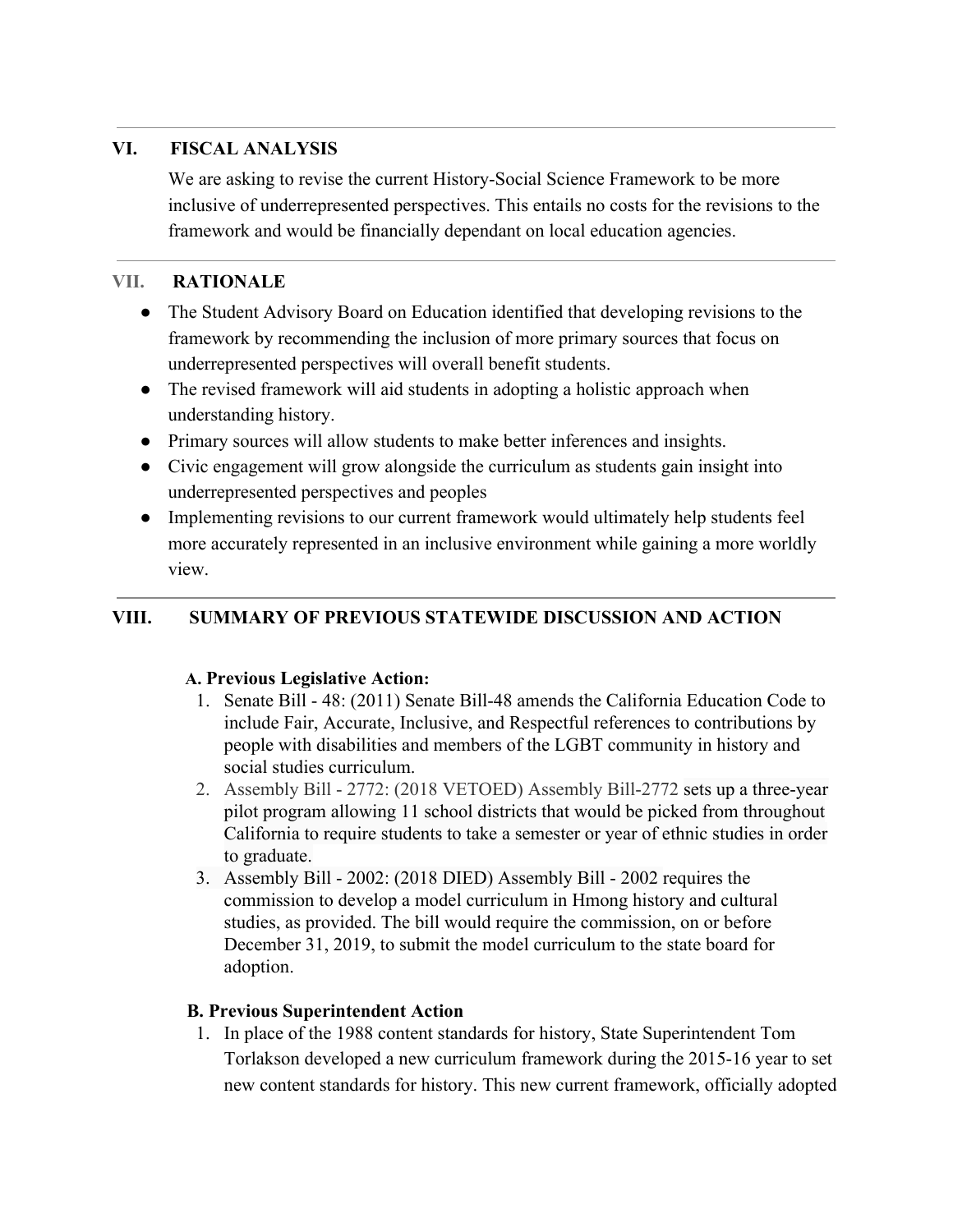## **VI. FISCAL ANALYSIS**

We are asking to revise the current History-Social Science Framework to be more inclusive of underrepresented perspectives. This entails no costs for the revisions to the framework and would be financially dependant on local education agencies.

## **VII. RATIONALE**

- The Student Advisory Board on Education identified that developing revisions to the framework by recommending the inclusion of more primary sources that focus on underrepresented perspectives will overall benefit students.
- The revised framework will aid students in adopting a holistic approach when understanding history.
- Primary sources will allow students to make better inferences and insights.
- Civic engagement will grow alongside the curriculum as students gain insight into underrepresented perspectives and peoples
- Implementing revisions to our current framework would ultimately help students feel more accurately represented in an inclusive environment while gaining a more worldly view.

# **VIII. SUMMARY OF PREVIOUS STATEWIDE DISCUSSION AND ACTION**

## **A. Previous Legislative Action:**

- 1. Senate Bill 48: (2011) Senate Bill-48 amends the California Education Code to include Fair, Accurate, Inclusive, and Respectful references to contributions by people with disabilities and members of the LGBT community in history and social studies curriculum.
- 2. Assembly Bill 2772: (2018 VETOED) Assembly Bill-2772 sets up a three-year pilot program allowing 11 school districts that would be picked from throughout California to require students to take a semester or year of ethnic studies in order to graduate.
- 3. Assembly Bill 2002: (2018 DIED) Assembly Bill 2002 requires the commission to develop a model curriculum in Hmong history and cultural studies, as provided. The bill would require the commission, on or before December 31, 2019, to submit the model curriculum to the state board for adoption.

## **B. Previous Superintendent Action**

1. In place of the 1988 content standards for history, State Superintendent Tom Torlakson developed a new curriculum framework during the 2015-16 year to set new content standards for history. This new current framework, officially adopted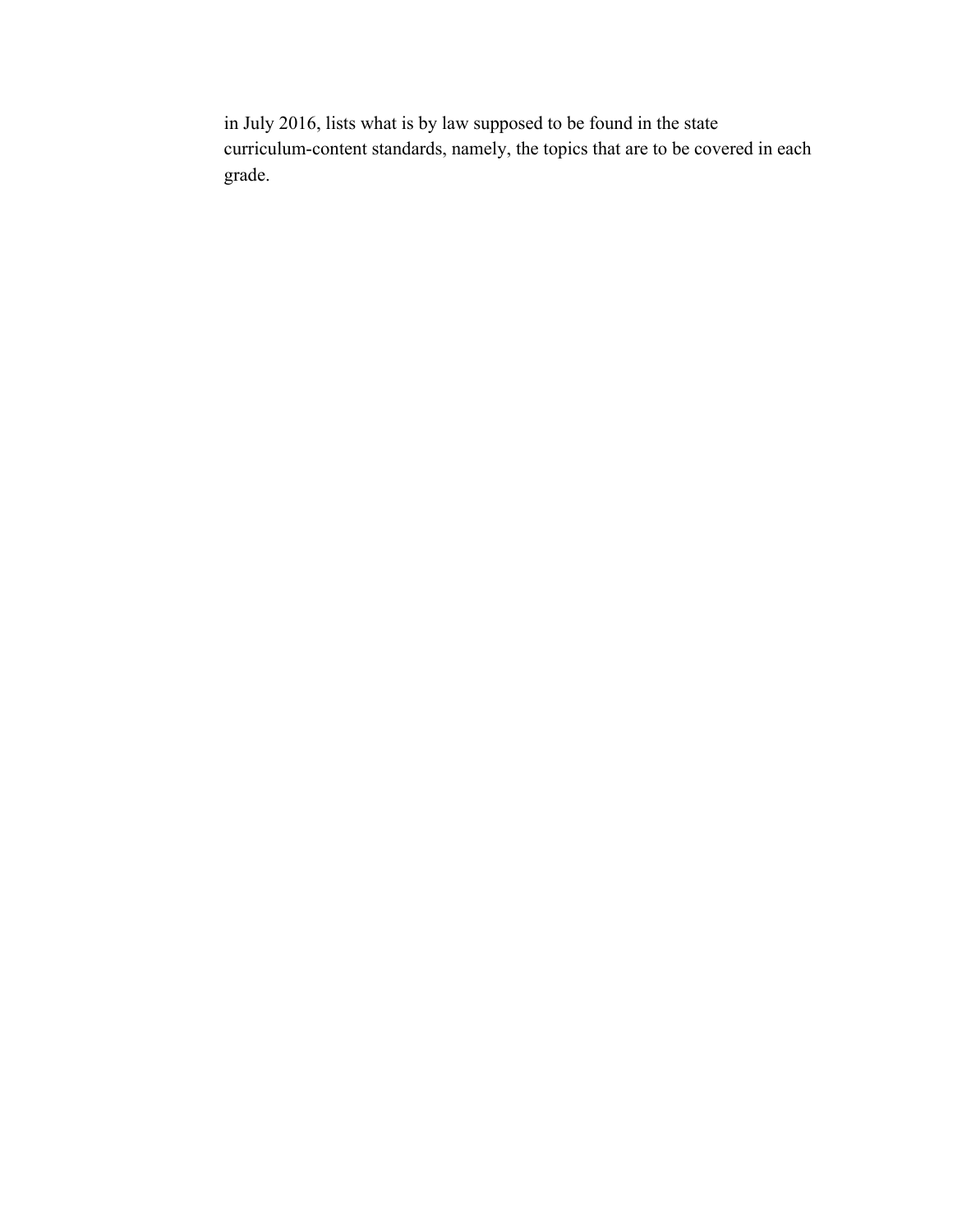in July 2016, lists what is by law supposed to be found in the state curriculum-content standards, namely, the topics that are to be covered in each grade.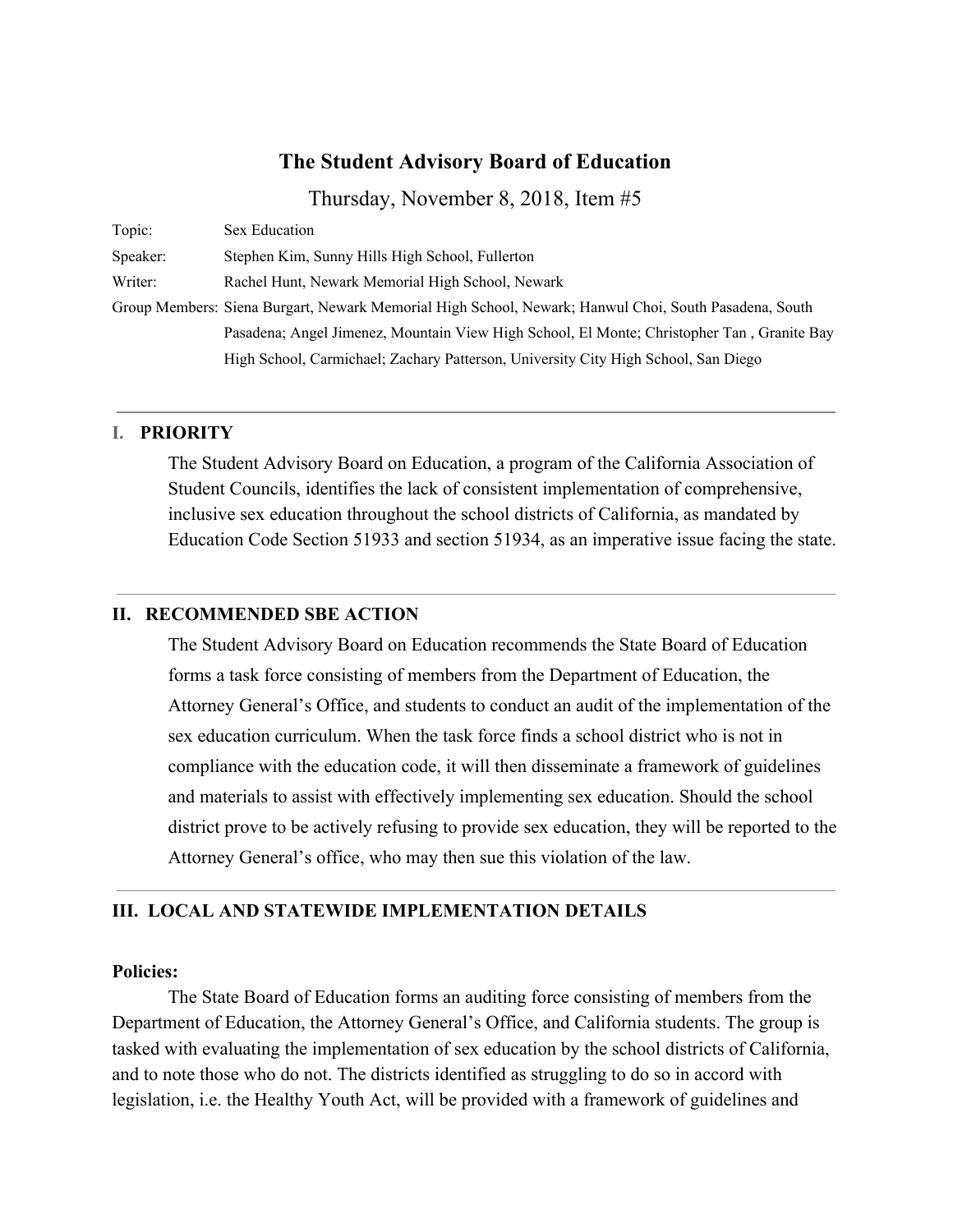Thursday, November 8, 2018, Item #5

| Topic:   | Sex Education                                                                                         |  |
|----------|-------------------------------------------------------------------------------------------------------|--|
| Speaker: | Stephen Kim, Sunny Hills High School, Fullerton                                                       |  |
| Writer:  | Rachel Hunt, Newark Memorial High School, Newark                                                      |  |
|          | Group Members: Siena Burgart, Newark Memorial High School, Newark; Hanwul Choi, South Pasadena, South |  |
|          | Pasadena; Angel Jimenez, Mountain View High School, El Monte; Christopher Tan, Granite Bay            |  |
|          | High School, Carmichael; Zachary Patterson, University City High School, San Diego                    |  |

### **I. PRIORITY**

The Student Advisory Board on Education, a program of the California Association of Student Councils, identifies the lack of consistent implementation of comprehensive, inclusive sex education throughout the school districts of California, as mandated by Education Code Section 51933 and section 51934, as an imperative issue facing the state.

### **II. RECOMMENDED SBE ACTION**

The Student Advisory Board on Education recommends the State Board of Education forms a task force consisting of members from the Department of Education, the Attorney General's Office, and students to conduct an audit of the implementation of the sex education curriculum. When the task force finds a school district who is not in compliance with the education code, it will then disseminate a framework of guidelines and materials to assist with effectively implementing sex education. Should the school district prove to be actively refusing to provide sex education, they will be reported to the Attorney General's office, who may then sue this violation of the law.

### **III. LOCAL AND STATEWIDE IMPLEMENTATION DETAILS**

#### **Policies:**

The State Board of Education forms an auditing force consisting of members from the Department of Education, the Attorney General's Office, and California students. The group is tasked with evaluating the implementation of sex education by the school districts of California, and to note those who do not. The districts identified as struggling to do so in accord with legislation, i.e. the Healthy Youth Act, will be provided with a framework of guidelines and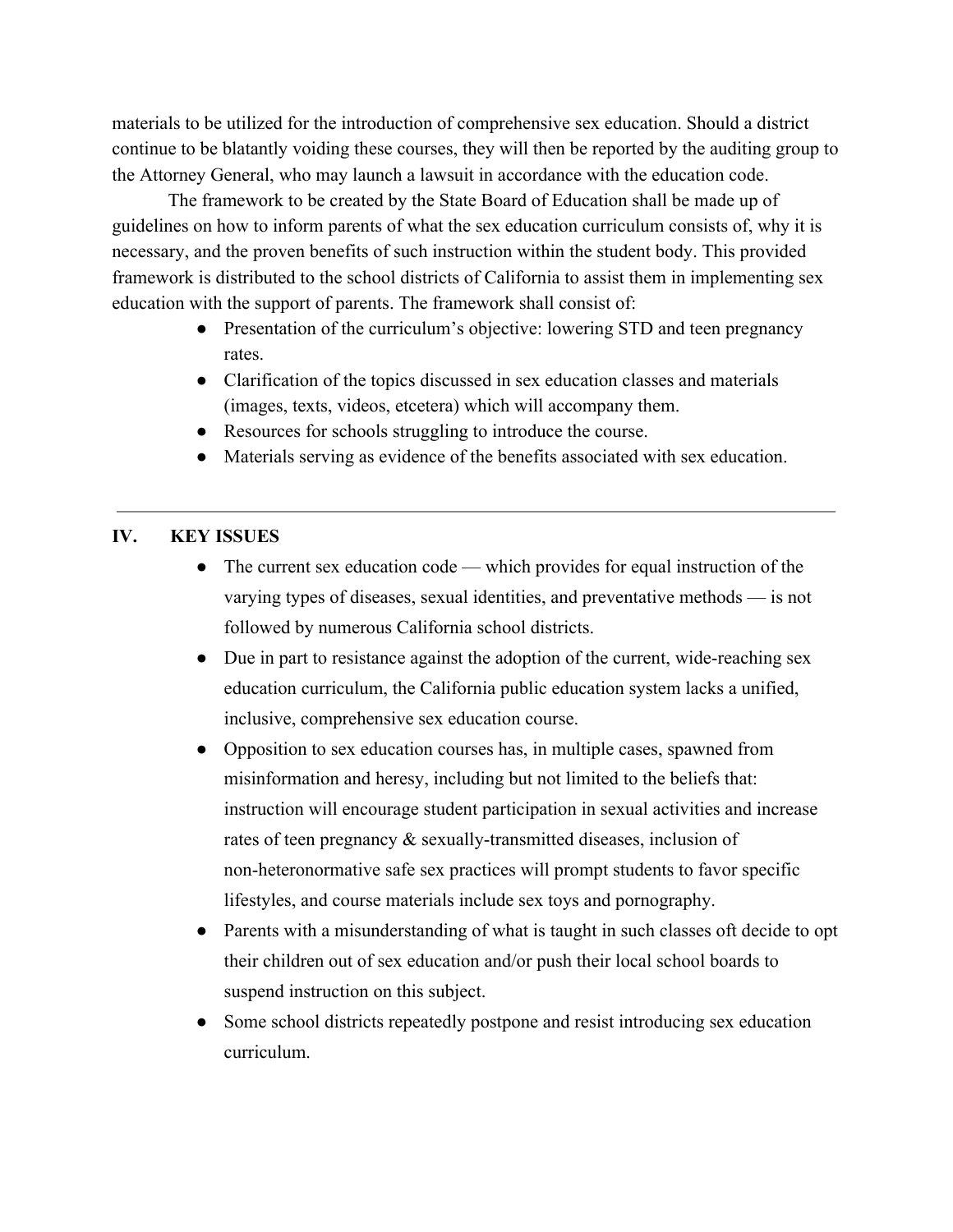materials to be utilized for the introduction of comprehensive sex education. Should a district continue to be blatantly voiding these courses, they will then be reported by the auditing group to the Attorney General, who may launch a lawsuit in accordance with the education code.

The framework to be created by the State Board of Education shall be made up of guidelines on how to inform parents of what the sex education curriculum consists of, why it is necessary, and the proven benefits of such instruction within the student body. This provided framework is distributed to the school districts of California to assist them in implementing sex education with the support of parents. The framework shall consist of:

- Presentation of the curriculum's objective: lowering STD and teen pregnancy rates.
- Clarification of the topics discussed in sex education classes and materials (images, texts, videos, etcetera) which will accompany them.
- Resources for schools struggling to introduce the course.
- Materials serving as evidence of the benefits associated with sex education.

## **IV. KEY ISSUES**

- The current sex education code which provides for equal instruction of the varying types of diseases, sexual identities, and preventative methods — is not followed by numerous California school districts.
- Due in part to resistance against the adoption of the current, wide-reaching sex education curriculum, the California public education system lacks a unified, inclusive, comprehensive sex education course.
- Opposition to sex education courses has, in multiple cases, spawned from misinformation and heresy, including but not limited to the beliefs that: instruction will encourage student participation in sexual activities and increase rates of teen pregnancy & sexually-transmitted diseases, inclusion of non-heteronormative safe sex practices will prompt students to favor specific lifestyles, and course materials include sex toys and pornography.
- Parents with a misunderstanding of what is taught in such classes oft decide to opt their children out of sex education and/or push their local school boards to suspend instruction on this subject.
- Some school districts repeatedly postpone and resist introducing sex education curriculum.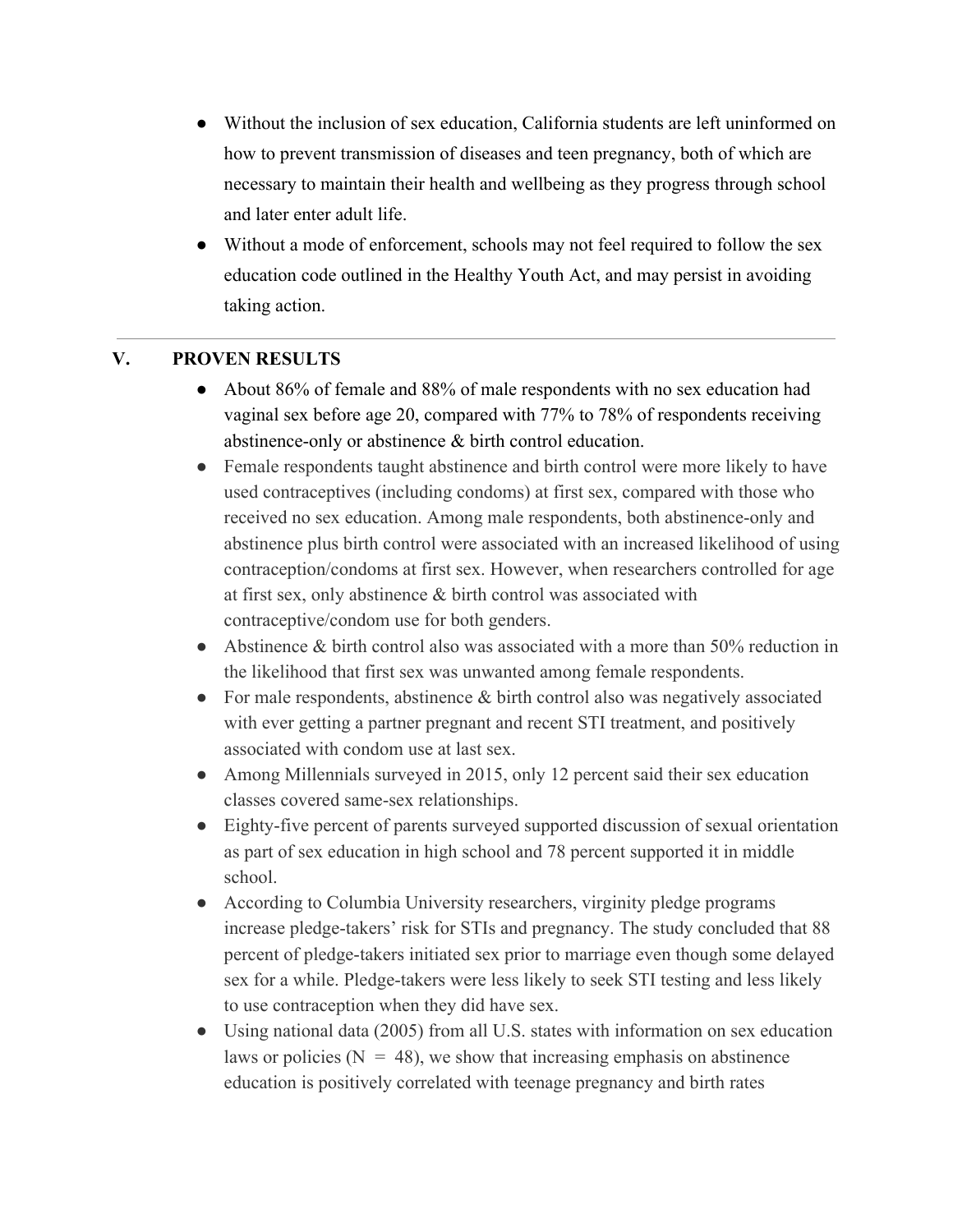- Without the inclusion of sex education, California students are left uninformed on how to prevent transmission of diseases and teen pregnancy, both of which are necessary to maintain their health and wellbeing as they progress through school and later enter adult life.
- Without a mode of enforcement, schools may not feel required to follow the sex education code outlined in the Healthy Youth Act, and may persist in avoiding taking action.

## **V. PROVEN RESULTS**

- About 86% of female and 88% of male respondents with no sex education had vaginal sex before age 20, compared with 77% to 78% of respondents receiving abstinence-only or abstinence & birth control education.
- Female respondents taught abstinence and birth control were more likely to have used contraceptives (including condoms) at first sex, compared with those who received no sex education. Among male respondents, both abstinence-only and abstinence plus birth control were associated with an increased likelihood of using contraception/condoms at first sex. However, when researchers controlled for age at first sex, only abstinence & birth control was associated with contraceptive/condom use for both genders.
- Abstinence  $&$  birth control also was associated with a more than 50% reduction in the likelihood that first sex was unwanted among female respondents.
- For male respondents, abstinence  $&$  birth control also was negatively associated with ever getting a partner pregnant and recent STI treatment, and positively associated with condom use at last sex.
- Among Millennials surveyed in 2015, only 12 percent said their sex education classes covered same-sex relationships.
- Eighty-five percent of parents surveyed supported discussion of sexual orientation as part of sex education in high school and 78 percent supported it in middle school.
- According to Columbia University researchers, virginity pledge programs increase pledge-takers' risk for STIs and pregnancy. The study concluded that 88 percent of pledge-takers initiated sex prior to marriage even though some delayed sex for a while. Pledge-takers were less likely to seek STI testing and less likely to use contraception when they did have sex.
- Using national data (2005) from all U.S. states with information on sex education laws or policies ( $N = 48$ ), we show that increasing emphasis on abstinence education is positively correlated with teenage pregnancy and birth rates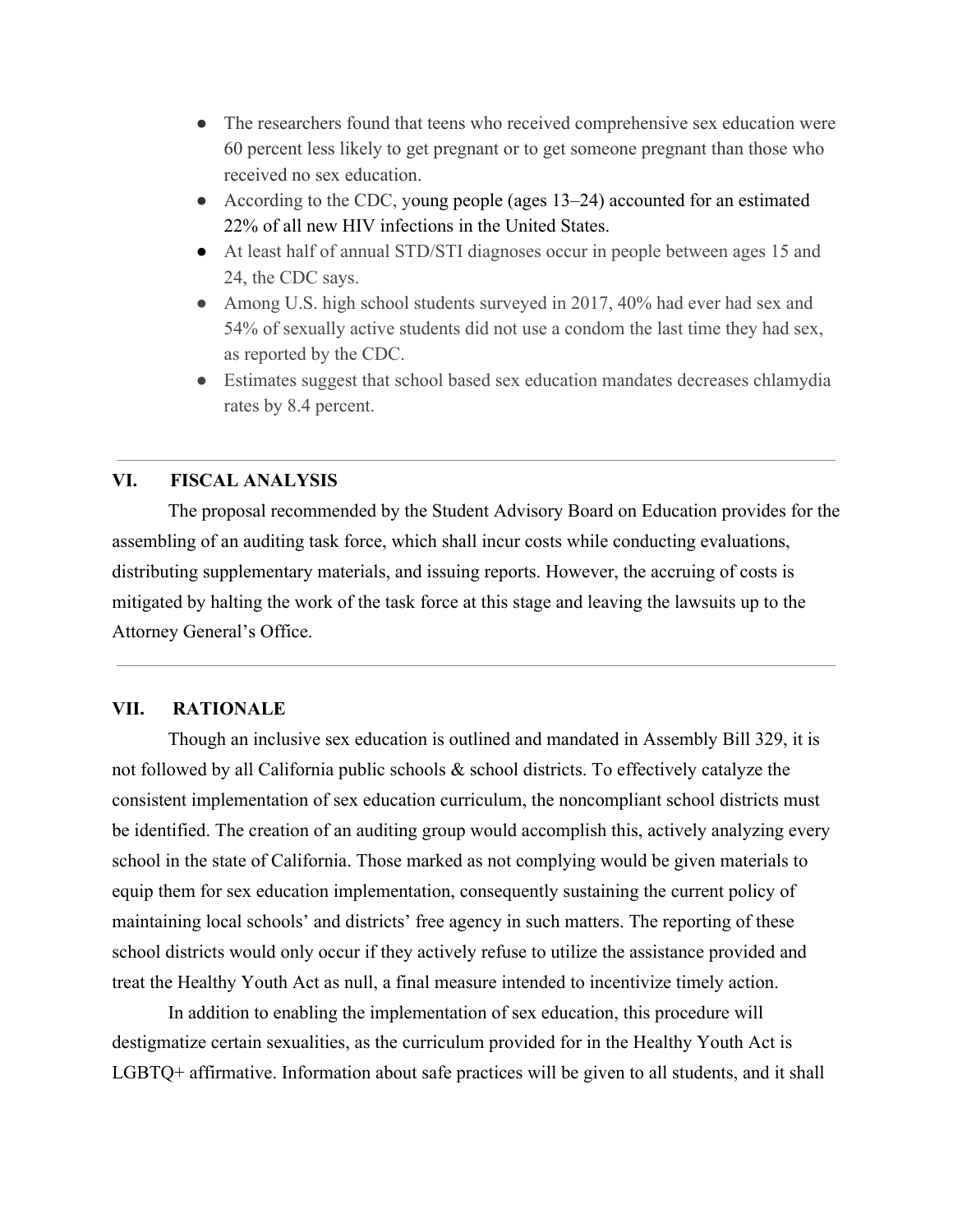- The researchers found that teens who received comprehensive sex education were 60 percent less likely to get pregnant or to get someone pregnant than those who received no sex education.
- According to the CDC, young people (ages 13–24) accounted for an estimated 22% of all new HIV infections in the United States.
- At least half of annual STD/STI diagnoses occur in people between ages 15 and 24, the CDC says.
- Among U.S. high school students surveyed in 2017, 40% had ever had sex and 54% of sexually active students did not use a condom the last time they had sex, as reported by the CDC.
- Estimates suggest that school based sex education mandates decreases chlamydia rates by 8.4 percent.

### **VI. FISCAL ANALYSIS**

The proposal recommended by the Student Advisory Board on Education provides for the assembling of an auditing task force, which shall incur costs while conducting evaluations, distributing supplementary materials, and issuing reports. However, the accruing of costs is mitigated by halting the work of the task force at this stage and leaving the lawsuits up to the Attorney General's Office.

#### **VII. RATIONALE**

Though an inclusive sex education is outlined and mandated in Assembly Bill 329, it is not followed by all California public schools & school districts. To effectively catalyze the consistent implementation of sex education curriculum, the noncompliant school districts must be identified. The creation of an auditing group would accomplish this, actively analyzing every school in the state of California. Those marked as not complying would be given materials to equip them for sex education implementation, consequently sustaining the current policy of maintaining local schools' and districts' free agency in such matters. The reporting of these school districts would only occur if they actively refuse to utilize the assistance provided and treat the Healthy Youth Act as null, a final measure intended to incentivize timely action.

In addition to enabling the implementation of sex education, this procedure will destigmatize certain sexualities, as the curriculum provided for in the Healthy Youth Act is LGBTQ+ affirmative. Information about safe practices will be given to all students, and it shall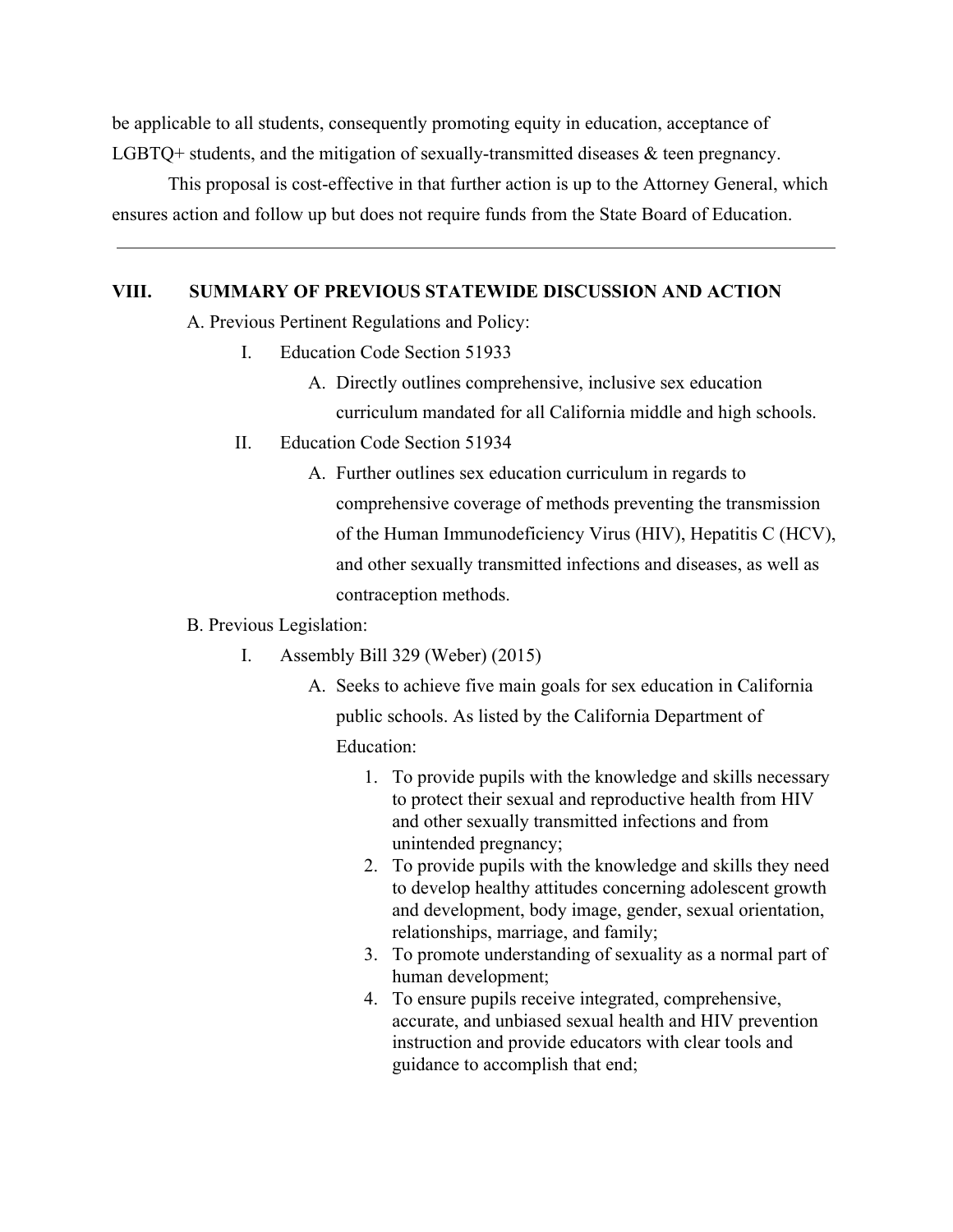be applicable to all students, consequently promoting equity in education, acceptance of LGBTQ+ students, and the mitigation of sexually-transmitted diseases & teen pregnancy.

This proposal is cost-effective in that further action is up to the Attorney General, which ensures action and follow up but does not require funds from the State Board of Education.

### **VIII. SUMMARY OF PREVIOUS STATEWIDE DISCUSSION AND ACTION**

A. Previous Pertinent Regulations and Policy:

- I. Education Code Section 51933
	- A. Directly outlines comprehensive, inclusive sex education curriculum mandated for all California middle and high schools.
- II. Education Code Section 51934
	- A. Further outlines sex education curriculum in regards to comprehensive coverage of methods preventing the transmission of the Human Immunodeficiency Virus (HIV), Hepatitis C (HCV), and other sexually transmitted infections and diseases, as well as contraception methods.
- B. Previous Legislation:
	- I. Assembly Bill 329 (Weber) (2015)
		- A. Seeks to achieve five main goals for sex education in California public schools. As listed by the California Department of Education:
			- 1. To provide pupils with the knowledge and skills necessary to protect their sexual and reproductive health from HIV and other sexually transmitted infections and from unintended pregnancy;
			- 2. To provide pupils with the knowledge and skills they need to develop healthy attitudes concerning adolescent growth and development, body image, gender, sexual orientation, relationships, marriage, and family;
			- 3. To promote understanding of sexuality as a normal part of human development;
			- 4. To ensure pupils receive integrated, comprehensive, accurate, and unbiased sexual health and HIV prevention instruction and provide educators with clear tools and guidance to accomplish that end;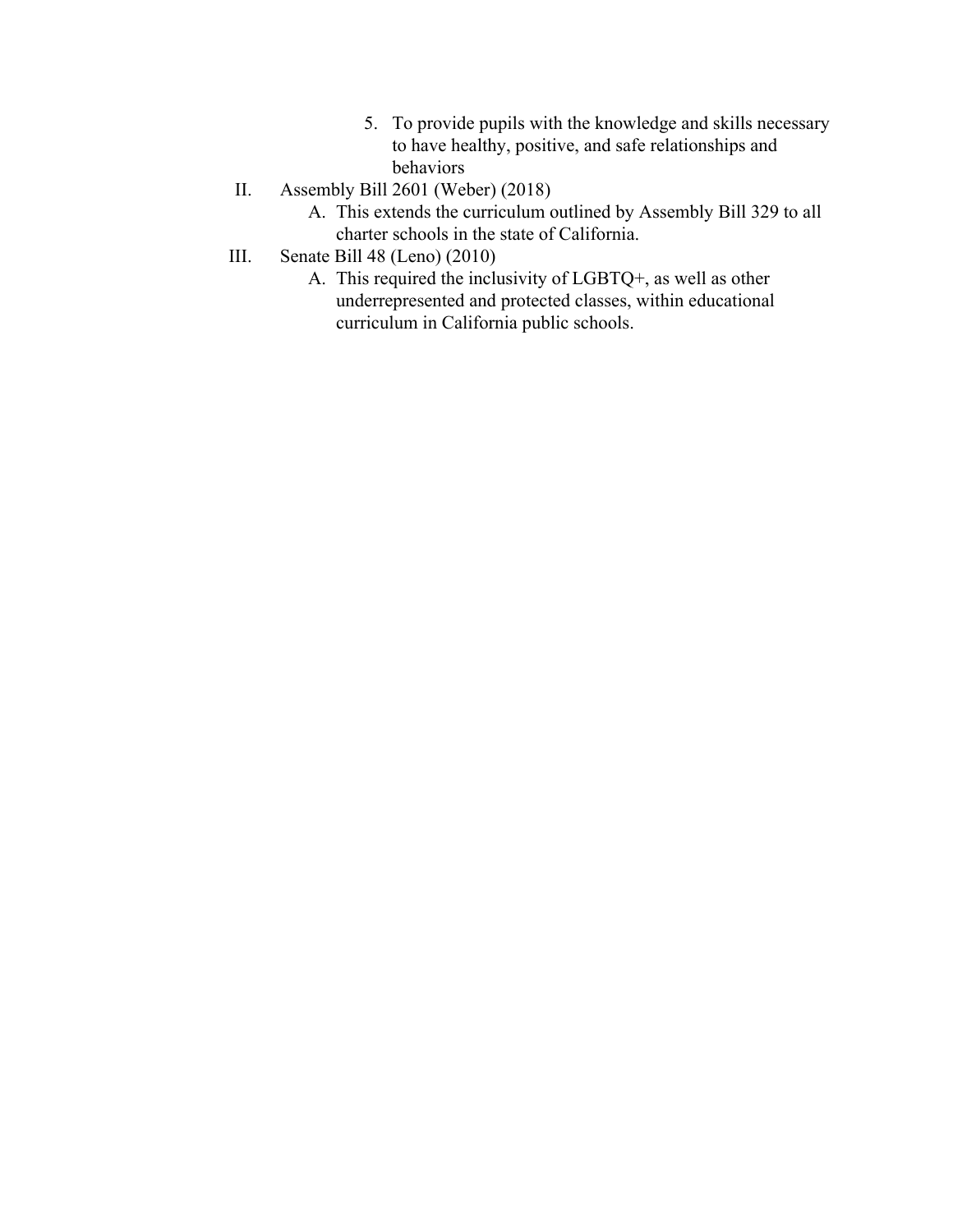- 5. To provide pupils with the knowledge and skills necessary to have healthy, positive, and safe relationships and behaviors
- II. Assembly Bill 2601 (Weber) (2018)
	- A. This extends the curriculum outlined by Assembly Bill 329 to all charter schools in the state of California.
- III. Senate Bill 48 (Leno) (2010)
	- A. This required the inclusivity of LGBTQ+, as well as other underrepresented and protected classes, within educational curriculum in California public schools.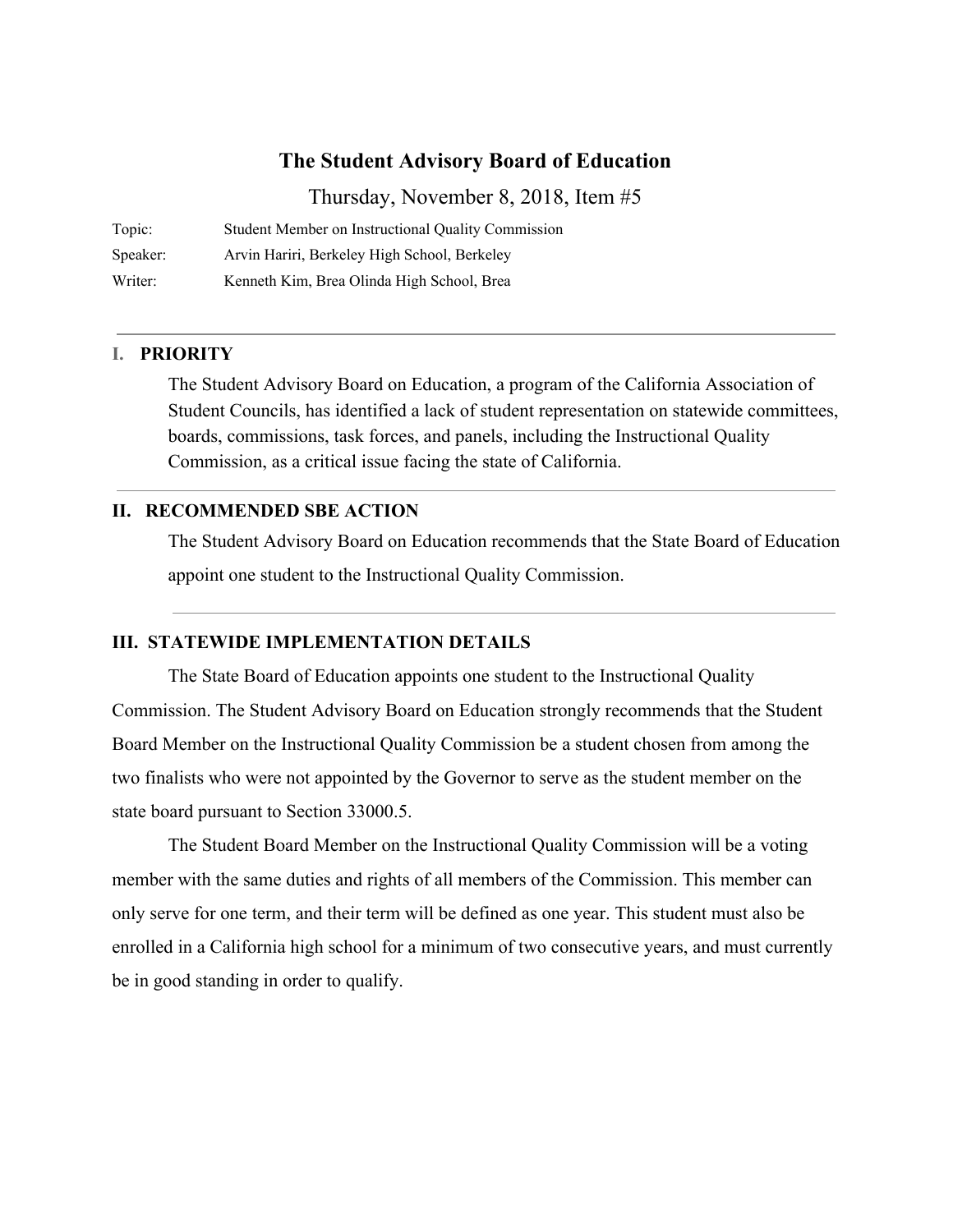Thursday, November 8, 2018, Item #5

| Topic:   | Student Member on Instructional Quality Commission |
|----------|----------------------------------------------------|
| Speaker: | Arvin Hariri, Berkeley High School, Berkeley       |
| Writer:  | Kenneth Kim, Brea Olinda High School, Brea         |

### **I. PRIORITY**

The Student Advisory Board on Education, a program of the California Association of Student Councils, has identified a lack of student representation on statewide committees, boards, commissions, task forces, and panels, including the Instructional Quality Commission, as a critical issue facing the state of California.

### **II. RECOMMENDED SBE ACTION**

The Student Advisory Board on Education recommends that the State Board of Education appoint one student to the Instructional Quality Commission.

### **III. STATEWIDE IMPLEMENTATION DETAILS**

The State Board of Education appoints one student to the Instructional Quality Commission. The Student Advisory Board on Education strongly recommends that the Student Board Member on the Instructional Quality Commission be a student chosen from among the two finalists who were not appointed by the Governor to serve as the student member on the state board pursuant to Section 33000.5.

The Student Board Member on the Instructional Quality Commission will be a voting member with the same duties and rights of all members of the Commission. This member can only serve for one term, and their term will be defined as one year. This student must also be enrolled in a California high school for a minimum of two consecutive years, and must currently be in good standing in order to qualify.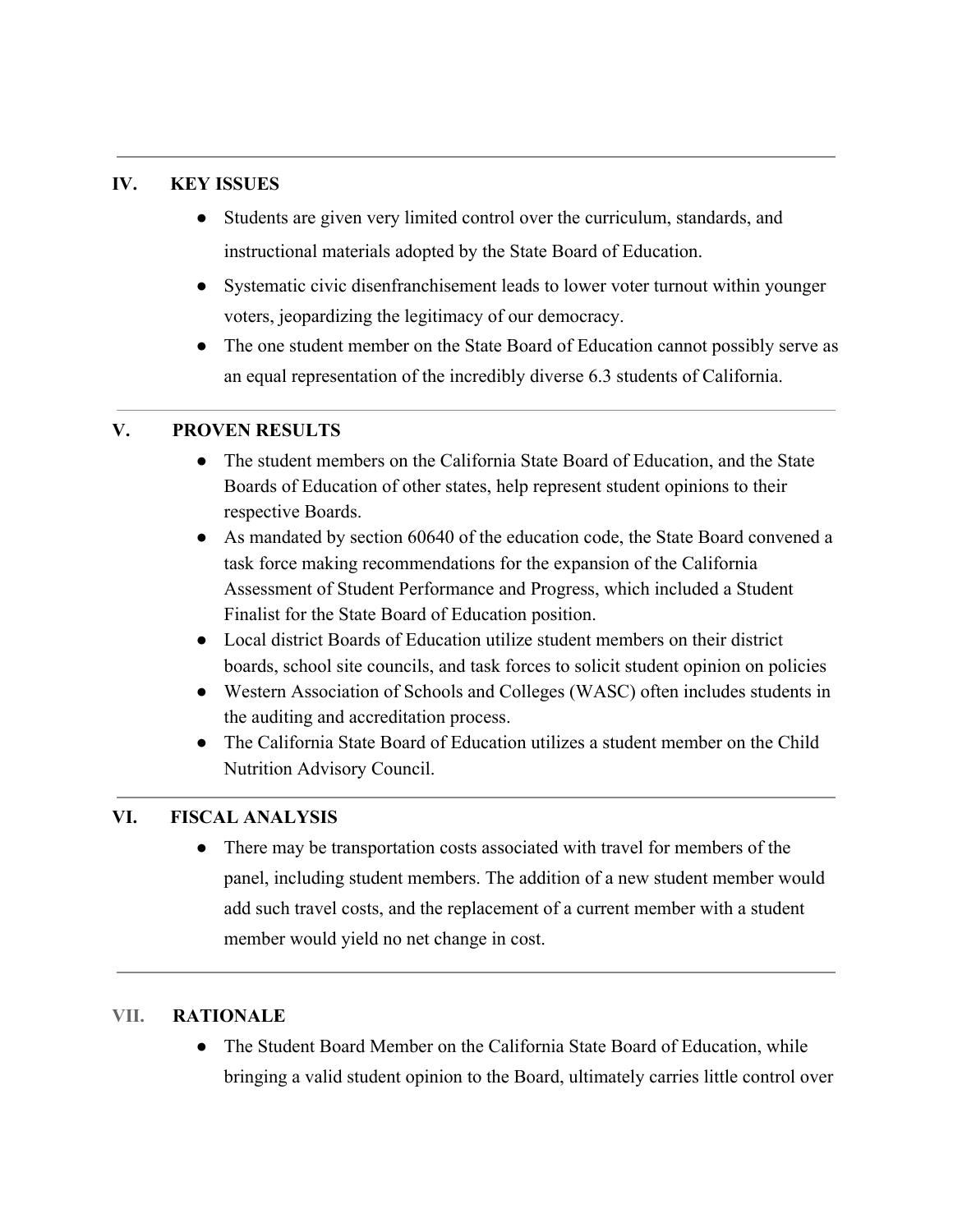## **IV. KEY ISSUES**

- Students are given very limited control over the curriculum, standards, and instructional materials adopted by the State Board of Education.
- Systematic civic disenfranchisement leads to lower voter turnout within younger voters, jeopardizing the legitimacy of our democracy.
- The one student member on the State Board of Education cannot possibly serve as an equal representation of the incredibly diverse 6.3 students of California.

## **V. PROVEN RESULTS**

- The student members on the California State Board of Education, and the State Boards of Education of other states, help represent student opinions to their respective Boards.
- As mandated by section 60640 of the education code, the State Board convened a task force making recommendations for the expansion of the California Assessment of Student Performance and Progress, which included a Student Finalist for the State Board of Education position.
- Local district Boards of Education utilize student members on their district boards, school site councils, and task forces to solicit student opinion on policies
- Western Association of Schools and Colleges (WASC) often includes students in the auditing and accreditation process.
- The California State Board of Education utilizes a student member on the Child Nutrition Advisory Council.

## **VI. FISCAL ANALYSIS**

• There may be transportation costs associated with travel for members of the panel, including student members. The addition of a new student member would add such travel costs, and the replacement of a current member with a student member would yield no net change in cost.

## **VII. RATIONALE**

• The Student Board Member on the California State Board of Education, while bringing a valid student opinion to the Board, ultimately carries little control over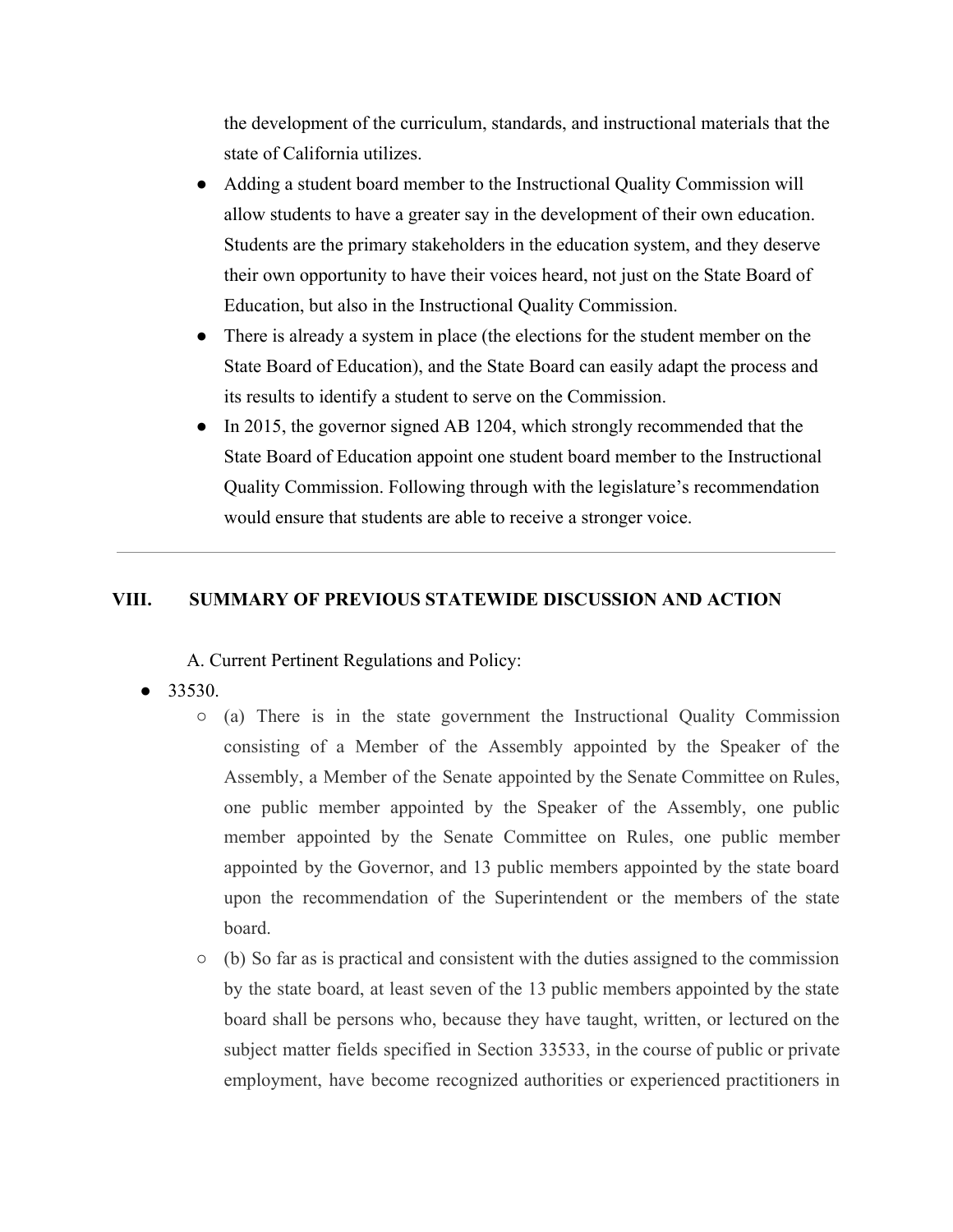the development of the curriculum, standards, and instructional materials that the state of California utilizes.

- Adding a student board member to the Instructional Quality Commission will allow students to have a greater say in the development of their own education. Students are the primary stakeholders in the education system, and they deserve their own opportunity to have their voices heard, not just on the State Board of Education, but also in the Instructional Quality Commission.
- There is already a system in place (the elections for the student member on the State Board of Education), and the State Board can easily adapt the process and its results to identify a student to serve on the Commission.
- In 2015, the governor signed AB 1204, which strongly recommended that the State Board of Education appoint one student board member to the Instructional Quality Commission. Following through with the legislature's recommendation would ensure that students are able to receive a stronger voice.

## **VIII. SUMMARY OF PREVIOUS STATEWIDE DISCUSSION AND ACTION**

A. Current Pertinent Regulations and Policy:

- 33530.
	- (a) There is in the state government the Instructional Quality Commission consisting of a Member of the Assembly appointed by the Speaker of the Assembly, a Member of the Senate appointed by the Senate Committee on Rules, one public member appointed by the Speaker of the Assembly, one public member appointed by the Senate Committee on Rules, one public member appointed by the Governor, and 13 public members appointed by the state board upon the recommendation of the Superintendent or the members of the state board.
	- $\circ$  (b) So far as is practical and consistent with the duties assigned to the commission by the state board, at least seven of the 13 public members appointed by the state board shall be persons who, because they have taught, written, or lectured on the subject matter fields specified in Section 33533, in the course of public or private employment, have become recognized authorities or experienced practitioners in